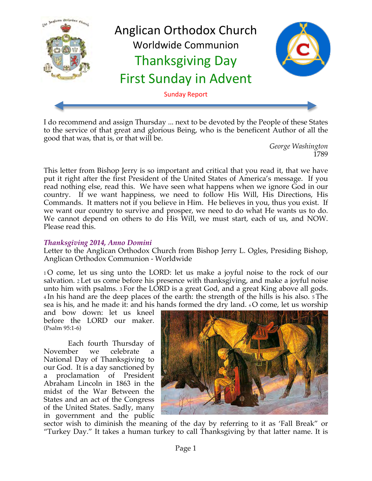

I do recommend and assign Thursday ... next to be devoted by the People of these States to the service of that great and glorious Being, who is the beneficent Author of all the good that was, that is, or that will be.

*George Washington* 1789

This letter from Bishop Jerry is so important and critical that you read it, that we have put it right after the first President of the United States of America's message. If you read nothing else, read this. We have seen what happens when we ignore God in our country. If we want happiness, we need to follow His Will, His Directions, His Commands. It matters not if you believe in Him. He believes in you, thus you exist. If we want our country to survive and prosper, we need to do what He wants us to do. We cannot depend on others to do His Will, we must start, each of us, and NOW. Please read this.

#### *Thanksgiving 2014, Anno Domini*

Letter to the Anglican Orthodox Church from Bishop Jerry L. Ogles, Presiding Bishop, Anglican Orthodox Communion - Worldwide

<sup>1</sup> O come, let us sing unto the LORD: let us make a joyful noise to the rock of our salvation. 2 Let us come before his presence with thanksgiving, and make a joyful noise unto him with psalms. 3 For the LORD is a great God, and a great King above all gods. <sup>4</sup> In his hand are the deep places of the earth: the strength of the hills is his also. 5 The sea is his, and he made it: and his hands formed the dry land. 6O come, let us worship

and bow down: let us kneel before the LORD our maker. (Psalm 95:1-6)

 Each fourth Thursday of November we celebrate a National Day of Thanksgiving to our God. It is a day sanctioned by a proclamation of President Abraham Lincoln in 1863 in the midst of the War Between the States and an act of the Congress of the United States. Sadly, many in government and the public



sector wish to diminish the meaning of the day by referring to it as 'Fall Break" or "Turkey Day." It takes a human turkey to call Thanksgiving by that latter name. It is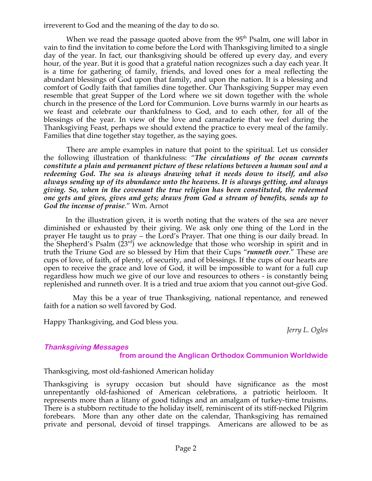irreverent to God and the meaning of the day to do so.

When we read the passage quoted above from the 95<sup>th</sup> Psalm, one will labor in vain to find the invitation to come before the Lord with Thanksgiving limited to a single day of the year. In fact, our thanksgiving should be offered up every day, and every hour, of the year. But it is good that a grateful nation recognizes such a day each year. It is a time for gathering of family, friends, and loved ones for a meal reflecting the abundant blessings of God upon that family, and upon the nation. It is a blessing and comfort of Godly faith that families dine together. Our Thanksgiving Supper may even resemble that great Supper of the Lord where we sit down together with the whole church in the presence of the Lord for Communion. Love burns warmly in our hearts as we feast and celebrate our thankfulness to God, and to each other, for all of the blessings of the year. In view of the love and camaraderie that we feel during the Thanksgiving Feast, perhaps we should extend the practice to every meal of the family. Families that dine together stay together, as the saying goes.

 There are ample examples in nature that point to the spiritual. Let us consider the following illustration of thankfulness: "*The circulations of the ocean currents constitute a plain and permanent picture of these relations between a human soul and a redeeming God. The sea is always drawing what it needs down to itself, and also always sending up of its abundance unto the heavens. It is always getting, and always giving. So, when in the covenant the true religion has been constituted, the redeemed one gets and gives, gives and gets; draws from God a stream of benefits, sends up to God the incense of praise*." Wm. Arnot

In the illustration given, it is worth noting that the waters of the sea are never diminished or exhausted by their giving. We ask only one thing of the Lord in the prayer He taught us to pray – the Lord's Prayer. That one thing is our daily bread. In the Shepherd's Psalm  $(23<sup>rd</sup>)$  we acknowledge that those who worship in spirit and in truth the Triune God are so blessed by Him that their Cups "*runneth over*." These are cups of love, of faith, of plenty, of security, and of blessings. If the cups of our hearts are open to receive the grace and love of God, it will be impossible to want for a full cup regardless how much we give of our love and resources to others - is constantly being replenished and runneth over. It is a tried and true axiom that you cannot out-give God.

May this be a year of true Thanksgiving, national repentance, and renewed faith for a nation so well favored by God.

Happy Thanksgiving, and God bless you.

*Jerry L. Ogles*

## **Thanksgiving Messages**

## **from around the Anglican Orthodox Communion Worldwide**

Thanksgiving, most old-fashioned American holiday

Thanksgiving is syrupy occasion but should have significance as the most unrepentantly old-fashioned of American celebrations, a patriotic heirloom. It represents more than a litany of good tidings and an amalgam of turkey-time truisms. There is a stubborn rectitude to the holiday itself, reminiscent of its stiff-necked Pilgrim forebears. More than any other date on the calendar, Thanksgiving has remained private and personal, devoid of tinsel trappings. Americans are allowed to be as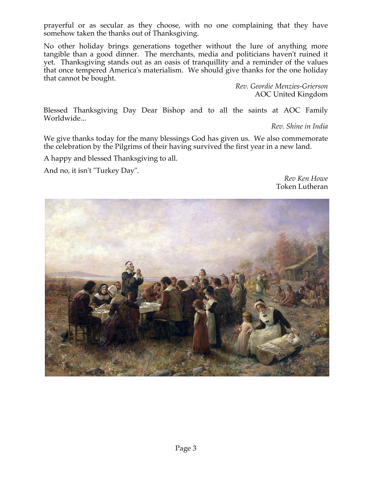prayerful or as secular as they choose, with no one complaining that they have somehow taken the thanks out of Thanksgiving.

No other holiday brings generations together without the lure of anything more tangible than a good dinner. The merchants, media and politicians haven't ruined it yet. Thanksgiving stands out as an oasis of tranquillity and a reminder of the values that once tempered America's materialism. We should give thanks for the one holiday that cannot be bought.

> *Rev. Geordie Menzies-Grierson* AOC United Kingdom

Blessed Thanksgiving Day Dear Bishop and to all the saints at AOC Family Worldwide...

*Rev. Shine in India*

We give thanks today for the many blessings God has given us. We also commemorate the celebration by the Pilgrims of their having survived the first year in a new land.

A happy and blessed Thanksgiving to all.

And no, it isn't "Turkey Day".

*Rev Ken Howe* Token Lutheran

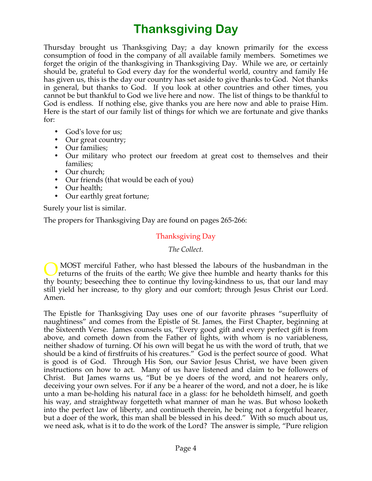# **Thanksgiving Day**

Thursday brought us Thanksgiving Day; a day known primarily for the excess consumption of food in the company of all available family members. Sometimes we forget the origin of the thanksgiving in Thanksgiving Day. While we are, or certainly should be, grateful to God every day for the wonderful world, country and family He has given us, this is the day our country has set aside to give thanks to God. Not thanks in general, but thanks to God. If you look at other countries and other times, you cannot be but thankful to God we live here and now. The list of things to be thankful to God is endless. If nothing else, give thanks you are here now and able to praise Him. Here is the start of our family list of things for which we are fortunate and give thanks for:

- God's love for us;
- Our great country;
- Our families;
- Our military who protect our freedom at great cost to themselves and their families;
- Our church;
- Our friends (that would be each of you)
- Our health;
- Our earthly great fortune;

Surely your list is similar.

The propers for Thanksgiving Day are found on pages 265-266:

## Thanksgiving Day

#### *The Collect.*

 MOST merciful Father, who hast blessed the labours of the husbandman in the returns of the fruits of the earth; We give thee humble and hearty thanks for this thy bounty; beseeching thee to continue thy loving-kindness to us, that our land may still yield her increase, to thy glory and our comfort; through Jesus Christ our Lord. Amen. O

The Epistle for Thanksgiving Day uses one of our favorite phrases "superfluity of naughtiness" and comes from the Epistle of St. James, the First Chapter, beginning at the Sixteenth Verse. James counsels us, "Every good gift and every perfect gift is from above, and cometh down from the Father of lights, with whom is no variableness, neither shadow of turning. Of his own will begat he us with the word of truth, that we should be a kind of firstfruits of his creatures." God is the perfect source of good. What is good is of God. Through His Son, our Savior Jesus Christ, we have been given instructions on how to act. Many of us have listened and claim to be followers of Christ. But James warns us, "But be ye doers of the word, and not hearers only, deceiving your own selves. For if any be a hearer of the word, and not a doer, he is like unto a man be-holding his natural face in a glass: for he beholdeth himself, and goeth his way, and straightway forgetteth what manner of man he was. But whoso looketh into the perfect law of liberty, and continueth therein, he being not a forgetful hearer, but a doer of the work, this man shall be blessed in his deed." With so much about us, we need ask, what is it to do the work of the Lord? The answer is simple, "Pure religion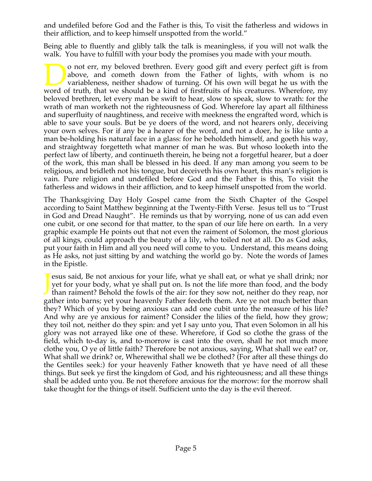and undefiled before God and the Father is this, To visit the fatherless and widows in their affliction, and to keep himself unspotted from the world."

Being able to fluently and glibly talk the talk is meaningless, if you will not walk the walk. You have to fulfill with your body the promises you made with your mouth.

o not err, my beloved brethren. Every good gift and every perfect gift is from above, and cometh down from the Father of lights, with whom is no variableness, neither shadow of turning. Of his own will begat he us with the o not err, my beloved brethren. Every good gift and every perfect gift is from above, and cometh down from the Father of lights, with whom is no variableness, neither shadow of turning. Of his own will begat he us with the beloved brethren, let every man be swift to hear, slow to speak, slow to wrath: for the wrath of man worketh not the righteousness of God. Wherefore lay apart all filthiness and superfluity of naughtiness, and receive with meekness the engrafted word, which is able to save your souls. But be ye doers of the word, and not hearers only, deceiving your own selves. For if any be a hearer of the word, and not a doer, he is like unto a man be-holding his natural face in a glass: for he beholdeth himself, and goeth his way, and straightway forgetteth what manner of man he was. But whoso looketh into the perfect law of liberty, and continueth therein, he being not a forgetful hearer, but a doer of the work, this man shall be blessed in his deed. If any man among you seem to be religious, and bridleth not his tongue, but deceiveth his own heart, this man's religion is vain. Pure religion and undefiled before God and the Father is this, To visit the fatherless and widows in their affliction, and to keep himself unspotted from the world.

The Thanksgiving Day Holy Gospel came from the Sixth Chapter of the Gospel according to Saint Matthew beginning at the Twenty-Fifth Verse. Jesus tell us to "Trust in God and Dread Naught". He reminds us that by worrying, none of us can add even one cubit, or one second for that matter, to the span of our life here on earth. In a very graphic example He points out that not even the raiment of Solomon, the most glorious of all kings, could approach the beauty of a lily, who toiled not at all. Do as God asks, put your faith in Him and all you need will come to you. Understand, this means doing as He asks, not just sitting by and watching the world go by. Note the words of James in the Epistle.

esus said, Be not anxious for your life, what ye shall eat, or what ye shall drink; nor yet for your body, what ye shall put on. Is not the life more than food, and the body than raiment? Behold the fowls of the air: for they sow not, neither do they reap, nor gather into barns; yet your heavenly Father feedeth them. Are ye not much better than they? Which of you by being anxious can add one cubit unto the measure of his life? And why are ye anxious for raiment? Consider the lilies of the field, how they grow; they toil not, neither do they spin: and yet I say unto you, That even Solomon in all his glory was not arrayed like one of these. Wherefore, if God so clothe the grass of the field, which to-day is, and to-morrow is cast into the oven, shall he not much more clothe you, O ye of little faith? Therefore be not anxious, saying, What shall we eat? or, What shall we drink? or, Wherewithal shall we be clothed? (For after all these things do the Gentiles seek:) for your heavenly Father knoweth that ye have need of all these things. But seek ye first the kingdom of God, and his righteousness; and all these things shall be added unto you. Be not therefore anxious for the morrow: for the morrow shall take thought for the things of itself. Sufficient unto the day is the evil thereof. J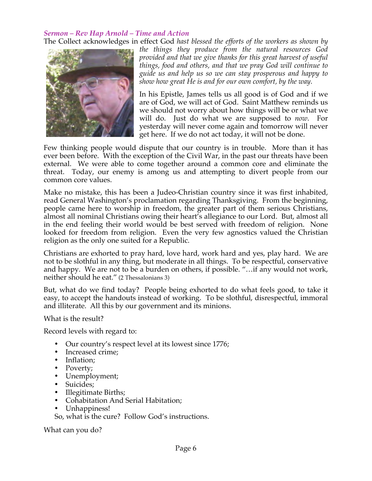## *Sermon – Rev Hap Arnold – Time and Action*

The Collect acknowledges in effect God *hast blessed the efforts of the workers as shown by* 



*the things they produce from the natural resources God provided and that we give thanks for this great harvest of useful things, food and others, and that we pray God will continue to guide us and help us so we can stay prosperous and happy to show how great He is and for our own comfort, by the way.*

In his Epistle, James tells us all good is of God and if we are of God, we will act of God. Saint Matthew reminds us we should not worry about how things will be or what we will do. Just do what we are supposed to *now*. For yesterday will never come again and tomorrow will never get here. If we do not act today, it will not be done.

Few thinking people would dispute that our country is in trouble. More than it has ever been before. With the exception of the Civil War, in the past our threats have been external. We were able to come together around a common core and eliminate the threat. Today, our enemy is among us and attempting to divert people from our common core values.

Make no mistake, this has been a Judeo-Christian country since it was first inhabited, read General Washington's proclamation regarding Thanksgiving. From the beginning, people came here to worship in freedom, the greater part of them serious Christians, almost all nominal Christians owing their heart's allegiance to our Lord. But, almost all in the end feeling their world would be best served with freedom of religion. None looked for freedom from religion. Even the very few agnostics valued the Christian religion as the only one suited for a Republic.

Christians are exhorted to pray hard, love hard, work hard and yes, play hard. We are not to be slothful in any thing, but moderate in all things. To be respectful, conservative and happy. We are not to be a burden on others, if possible. "…if any would not work, neither should he eat." (2 Thessalonians 3)

But, what do we find today? People being exhorted to do what feels good, to take it easy, to accept the handouts instead of working. To be slothful, disrespectful, immoral and illiterate. All this by our government and its minions.

What is the result?

Record levels with regard to:

- Our country's respect level at its lowest since 1776;
- Increased crime;
- Inflation;
- Poverty;
- Unemployment;
- Suicides;
- Illegitimate Births;
- Cohabitation And Serial Habitation;
- Unhappiness!
- So, what is the cure? Follow God's instructions.

What can you do?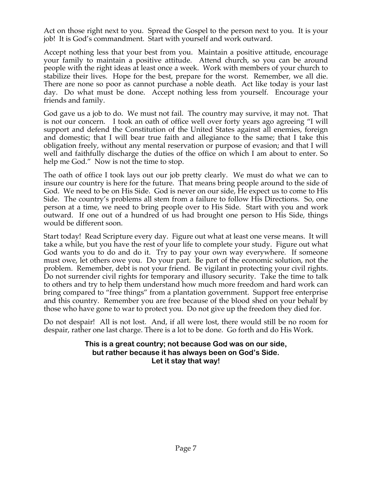Act on those right next to you. Spread the Gospel to the person next to you. It is your job! It is God's commandment. Start with yourself and work outward.

Accept nothing less that your best from you. Maintain a positive attitude, encourage your family to maintain a positive attitude. Attend church, so you can be around people with the right ideas at least once a week. Work with members of your church to stabilize their lives. Hope for the best, prepare for the worst. Remember, we all die. There are none so poor as cannot purchase a noble death. Act like today is your last day. Do what must be done. Accept nothing less from yourself. Encourage your friends and family.

God gave us a job to do. We must not fail. The country may survive, it may not. That is not our concern. I took an oath of office well over forty years ago agreeing "I will support and defend the Constitution of the United States against all enemies, foreign and domestic; that I will bear true faith and allegiance to the same; that I take this obligation freely, without any mental reservation or purpose of evasion; and that I will well and faithfully discharge the duties of the office on which I am about to enter. So help me God." Now is not the time to stop.

The oath of office I took lays out our job pretty clearly. We must do what we can to insure our country is here for the future. That means bring people around to the side of God. We need to be on His Side. God is never on our side, He expect us to come to His Side. The country's problems all stem from a failure to follow His Directions. So, one person at a time, we need to bring people over to His Side. Start with you and work outward. If one out of a hundred of us had brought one person to His Side, things would be different soon.

Start today! Read Scripture every day. Figure out what at least one verse means. It will take a while, but you have the rest of your life to complete your study. Figure out what God wants you to do and do it. Try to pay your own way everywhere. If someone must owe, let others owe you. Do your part. Be part of the economic solution, not the problem. Remember, debt is not your friend. Be vigilant in protecting your civil rights. Do not surrender civil rights for temporary and illusory security. Take the time to talk to others and try to help them understand how much more freedom and hard work can bring compared to "free things" from a plantation government. Support free enterprise and this country. Remember you are free because of the blood shed on your behalf by those who have gone to war to protect you. Do not give up the freedom they died for.

Do not despair! All is not lost. And, if all were lost, there would still be no room for despair, rather one last charge. There is a lot to be done. Go forth and do His Work.

#### **This is a great country; not because God was on our side, but rather because it has always been on God's Side. Let it stay that way!**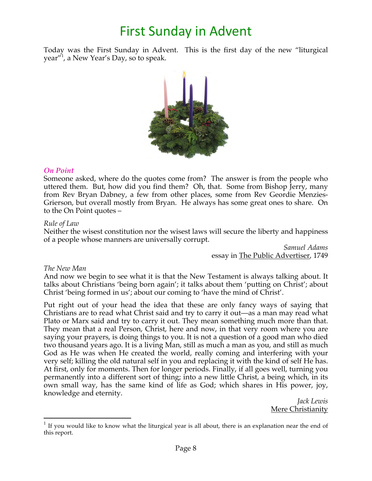# **First Sunday in Advent**

Today was the First Sunday in Advent. This is the first day of the new "liturgical year"<sup>1</sup> , a New Year's Day, so to speak.



#### *On Point*

Someone asked, where do the quotes come from? The answer is from the people who uttered them. But, how did you find them? Oh, that. Some from Bishop Jerry, many from Rev Bryan Dabney, a few from other places, some from Rev Geordie Menzies-Grierson, but overall mostly from Bryan. He always has some great ones to share. On to the On Point quotes –

#### *Rule of Law*

Neither the wisest constitution nor the wisest laws will secure the liberty and happiness of a people whose manners are universally corrupt.

> *Samuel Adams* essay in The Public Advertiser, 1749

#### *The New Man*

And now we begin to see what it is that the New Testament is always talking about. It talks about Christians 'being born again'; it talks about them 'putting on Christ'; about Christ 'being formed in us'; about our coming to 'have the mind of Christ'.

Put right out of your head the idea that these are only fancy ways of saying that Christians are to read what Christ said and try to carry it out—as a man may read what Plato or Marx said and try to carry it out. They mean something much more than that. They mean that a real Person, Christ, here and now, in that very room where you are saying your prayers, is doing things to you. It is not a question of a good man who died two thousand years ago. It is a living Man, still as much a man as you, and still as much God as He was when He created the world, really coming and interfering with your very self; killing the old natural self in you and replacing it with the kind of self He has. At first, only for moments. Then for longer periods. Finally, if all goes well, turning you permanently into a different sort of thing; into a new little Christ, a being which, in its own small way, has the same kind of life as God; which shares in His power, joy, knowledge and eternity.

> *Jack Lewis* Mere Christianity

 $1$  If you would like to know what the liturgical year is all about, there is an explanation near the end of this report.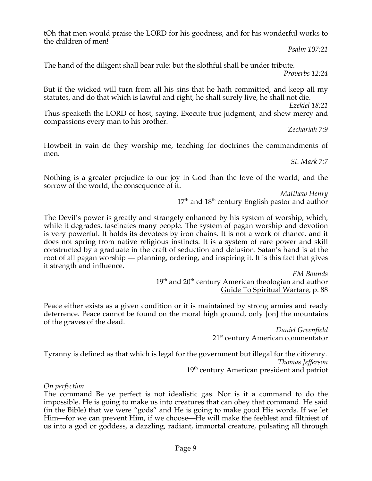tOh that men would praise the LORD for his goodness, and for his wonderful works to the children of men!

*Psalm 107:21*

The hand of the diligent shall bear rule: but the slothful shall be under tribute.

*Proverbs 12:24*

But if the wicked will turn from all his sins that he hath committed, and keep all my statutes, and do that which is lawful and right, he shall surely live, he shall not die.

*Ezekiel 18:21*

Thus speaketh the LORD of host, saying, Execute true judgment, and shew mercy and compassions every man to his brother.

*Zechariah 7:9*

Howbeit in vain do they worship me, teaching for doctrines the commandments of men.

*St. Mark 7:7*

Nothing is a greater prejudice to our joy in God than the love of the world; and the sorrow of the world, the consequence of it.

*Matthew Henry*

 $17<sup>th</sup>$  and  $18<sup>th</sup>$  century English pastor and author

The Devil's power is greatly and strangely enhanced by his system of worship, which, while it degrades, fascinates many people. The system of pagan worship and devotion is very powerful. It holds its devotees by iron chains. It is not a work of chance, and it does not spring from native religious instincts. It is a system of rare power and skill constructed by a graduate in the craft of seduction and delusion. Satan's hand is at the root of all pagan worship — planning, ordering, and inspiring it. It is this fact that gives it strength and influence.

> *EM Bounds*  $19<sup>th</sup>$  and  $20<sup>th</sup>$  century American theologian and author Guide To Spiritual Warfare, p. 88

Peace either exists as a given condition or it is maintained by strong armies and ready deterrence. Peace cannot be found on the moral high ground, only [on] the mountains of the graves of the dead.

*Daniel Greenfield* 21<sup>st</sup> century American commentator

Tyranny is defined as that which is legal for the government but illegal for the citizenry. *Thomas Jefferson* 19<sup>th</sup> century American president and patriot

*On perfection*

The command Be ye perfect is not idealistic gas. Nor is it a command to do the impossible. He is going to make us into creatures that can obey that command. He said (in the Bible) that we were "gods" and He is going to make good His words. If we let Him—for we can prevent Him, if we choose—He will make the feeblest and filthiest of us into a god or goddess, a dazzling, radiant, immortal creature, pulsating all through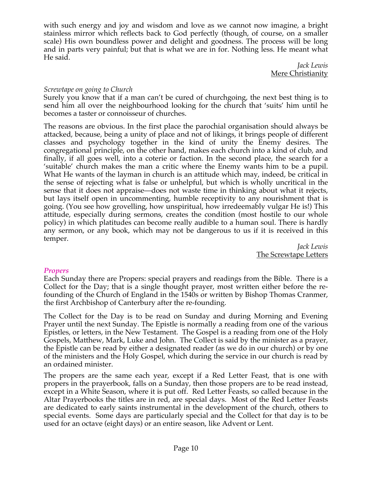with such energy and joy and wisdom and love as we cannot now imagine, a bright stainless mirror which reflects back to God perfectly (though, of course, on a smaller scale) His own boundless power and delight and goodness. The process will be long and in parts very painful; but that is what we are in for. Nothing less. He meant what He said.

*Jack Lewis* Mere Christianity

#### *Screwtape on going to Church*

Surely you know that if a man can't be cured of churchgoing, the next best thing is to send him all over the neighbourhood looking for the church that 'suits' him until he becomes a taster or connoisseur of churches.

The reasons are obvious. In the first place the parochial organisation should always be attacked, because, being a unity of place and not of likings, it brings people of different classes and psychology together in the kind of unity the Enemy desires. The congregational principle, on the other hand, makes each church into a kind of club, and finally, if all goes well, into a coterie or faction. In the second place, the search for a 'suitable' church makes the man a critic where the Enemy wants him to be a pupil. What He wants of the layman in church is an attitude which may, indeed, be critical in the sense of rejecting what is false or unhelpful, but which is wholly uncritical in the sense that it does not appraise—does not waste time in thinking about what it rejects, but lays itself open in uncommenting, humble receptivity to any nourishment that is going. (You see how grovelling, how unspiritual, how irredeemably vulgar He is!) This attitude, especially during sermons, creates the condition (most hostile to our whole policy) in which platitudes can become really audible to a human soul. There is hardly any sermon, or any book, which may not be dangerous to us if it is received in this temper.

*Jack Lewis* The Screwtape Letters

#### *Propers*

Each Sunday there are Propers: special prayers and readings from the Bible. There is a Collect for the Day; that is a single thought prayer, most written either before the refounding of the Church of England in the 1540s or written by Bishop Thomas Cranmer, the first Archbishop of Canterbury after the re-founding.

The Collect for the Day is to be read on Sunday and during Morning and Evening Prayer until the next Sunday. The Epistle is normally a reading from one of the various Epistles, or letters, in the New Testament. The Gospel is a reading from one of the Holy Gospels, Matthew, Mark, Luke and John. The Collect is said by the minister as a prayer, the Epistle can be read by either a designated reader (as we do in our church) or by one of the ministers and the Holy Gospel, which during the service in our church is read by an ordained minister.

The propers are the same each year, except if a Red Letter Feast, that is one with propers in the prayerbook, falls on a Sunday, then those propers are to be read instead, except in a White Season, where it is put off. Red Letter Feasts, so called because in the Altar Prayerbooks the titles are in red, are special days. Most of the Red Letter Feasts are dedicated to early saints instrumental in the development of the church, others to special events. Some days are particularly special and the Collect for that day is to be used for an octave (eight days) or an entire season, like Advent or Lent.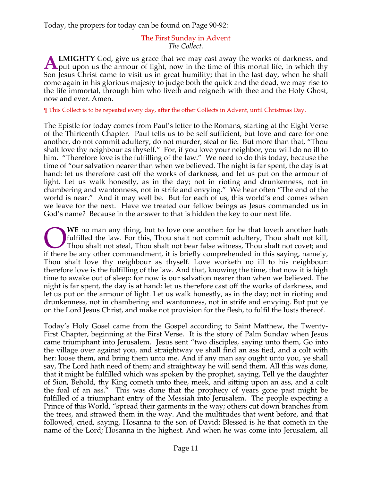Today, the propers for today can be found on Page 90-92:

#### The First Sunday in Advent *The Collect.*

**LMIGHTY** God, give us grace that we may cast away the works of darkness, and **ALMIGHTY** God, give us grace that we may cast away the works of darkness, and put upon us the armour of light, now in the time of this mortal life, in which thy Son Jesus Christ came to visit us in great humility; that in the last day, when he shall come again in his glorious majesty to judge both the quick and the dead, we may rise to the life immortal, through him who liveth and reigneth with thee and the Holy Ghost, now and ever. Amen.

¶ This Collect is to be repeated every day, after the other Collects in Advent, until Christmas Day.

The Epistle for today comes from Paul's letter to the Romans, starting at the Eight Verse of the Thirteenth Chapter. Paul tells us to be self sufficient, but love and care for one another, do not commit adultery, do not murder, steal or lie. But more than that, "Thou shalt love thy neighbour as thyself." For, if you love your neighbor, you will do no ill to him. "Therefore love is the fulfilling of the law." We need to do this today, because the time of "our salvation nearer than when we believed. The night is far spent, the day is at hand: let us therefore cast off the works of darkness, and let us put on the armour of light. Let us walk honestly, as in the day; not in rioting and drunkenness, not in chambering and wantonness, not in strife and envying." We hear often "The end of the world is near." And it may well be. But for each of us, this world's end comes when we leave for the next. Have we treated our fellow beings as Jesus commanded us in God's name? Because in the answer to that is hidden the key to our next life.

**WE** no man any thing, but to love one another: for he that loveth another hath fulfilled the law. For this, Thou shalt not commit adultery, Thou shalt not kill, Thou shalt not steal, Thou shalt not bear false witness, Thou shalt not covet; and WE no man any thing, but to love one another: for he that loveth another hath fulfilled the law. For this, Thou shalt not commit adultery, Thou shalt not kill, Thou shalt not steal, Thou shalt not bear false witness, Thou Thou shalt love thy neighbour as thyself. Love worketh no ill to his neighbour: therefore love is the fulfilling of the law. And that, knowing the time, that now it is high time to awake out of sleep: for now is our salvation nearer than when we believed. The night is far spent, the day is at hand: let us therefore cast off the works of darkness, and let us put on the armour of light. Let us walk honestly, as in the day; not in rioting and drunkenness, not in chambering and wantonness, not in strife and envying. But put ye on the Lord Jesus Christ, and make not provision for the flesh, to fulfil the lusts thereof.

Today's Holy Gosel came from the Gospel according to Saint Matthew, the Twenty-First Chapter, beginning at the First Verse. It is the story of Palm Sunday when Jesus came triumphant into Jerusalem. Jesus sent "two disciples, saying unto them, Go into the village over against you, and straightway ye shall find an ass tied, and a colt with her: loose them, and bring them unto me. And if any man say ought unto you, ye shall say, The Lord hath need of them; and straightway he will send them. All this was done, that it might be fulfilled which was spoken by the prophet, saying, Tell ye the daughter of Sion, Behold, thy King cometh unto thee, meek, and sitting upon an ass, and a colt the foal of an ass." This was done that the prophecy of years gone past might be fulfilled of a triumphant entry of the Messiah into Jerusalem. The people expecting a Prince of this World, "spread their garments in the way; others cut down branches from the trees, and strawed them in the way. And the multitudes that went before, and that followed, cried, saying, Hosanna to the son of David: Blessed is he that cometh in the name of the Lord; Hosanna in the highest. And when he was come into Jerusalem, all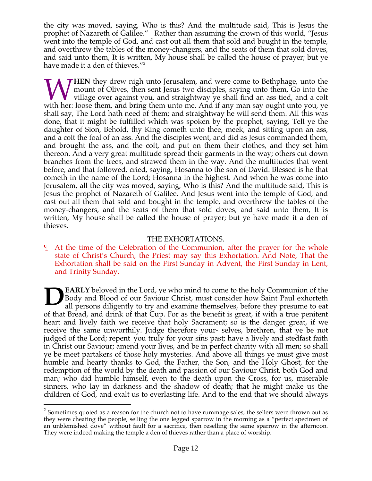the city was moved, saying, Who is this? And the multitude said, This is Jesus the prophet of Nazareth of Galilee." Rather than assuming the crown of this world, "Jesus went into the temple of God, and cast out all them that sold and bought in the temple, and overthrew the tables of the money-changers, and the seats of them that sold doves, and said unto them, It is written, My house shall be called the house of prayer; but ye have made it a den of thieves."<sup>2</sup>

**HEN** they drew nigh unto Jerusalem, and were come to Bethphage, unto the mount of Olives, then sent Jesus two disciples, saying unto them, Go into the village over against you, and straightway ye shall find an ass tied, and a colt WHEN they drew nigh unto Jerusalem, and were come to Bethphage, unto the mount of Olives, then sent Jesus two disciples, saying unto them, Go into the village over against you, and straightway ye shall find an ass tied, an shall say, The Lord hath need of them; and straightway he will send them. All this was done, that it might be fulfilled which was spoken by the prophet, saying, Tell ye the daughter of Sion, Behold, thy King cometh unto thee, meek, and sitting upon an ass, and a colt the foal of an ass. And the disciples went, and did as Jesus commanded them, and brought the ass, and the colt, and put on them their clothes, and they set him thereon. And a very great multitude spread their garments in the way; others cut down branches from the trees, and strawed them in the way. And the multitudes that went before, and that followed, cried, saying, Hosanna to the son of David: Blessed is he that cometh in the name of the Lord; Hosanna in the highest. And when he was come into Jerusalem, all the city was moved, saying, Who is this? And the multitude said, This is Jesus the prophet of Nazareth of Galilee. And Jesus went into the temple of God, and cast out all them that sold and bought in the temple, and overthrew the tables of the money-changers, and the seats of them that sold doves, and said unto them, It is written, My house shall be called the house of prayer; but ye have made it a den of thieves.

#### THE EXHORTATIONS.

¶ At the time of the Celebration of the Communion, after the prayer for the whole state of Christ's Church, the Priest may say this Exhortation. And Note, That the Exhortation shall be said on the First Sunday in Advent, the First Sunday in Lent, and Trinity Sunday.

**EARLY** beloved in the Lord, ye who mind to come to the holy Communion of the Body and Blood of our Saviour Christ, must consider how Saint Paul exhorteth all persons diligently to try and examine themselves, before they presume to eat of that Bread, and drink of that Cup. For as the benefit is great, if with a true penitent heart and lively faith we receive that holy Sacrament; so is the danger great, if we receive the same unworthily. Judge therefore your- selves, brethren, that ye be not judged of the Lord; repent you truly for your sins past; have a lively and stedfast faith in Christ our Saviour; amend your lives, and be in perfect charity with all men; so shall ye be meet partakers of those holy mysteries. And above all things ye must give most humble and hearty thanks to God, the Father, the Son, and the Holy Ghost, for the redemption of the world by the death and passion of our Saviour Christ, both God and man; who did humble himself, even to the death upon the Cross, for us, miserable sinners, who lay in darkness and the shadow of death; that he might make us the children of God, and exalt us to everlasting life. And to the end that we should always **D**

 $2^2$  Sometimes quoted as a reason for the church not to have rummage sales, the sellers were thrown out as they were cheating the people, selling the one legged sparrow in the morning as a "perfect specimen of an unblemished dove" without fault for a sacrifice, then reselling the same sparrow in the afternoon. They were indeed making the temple a den of thieves rather than a place of worship.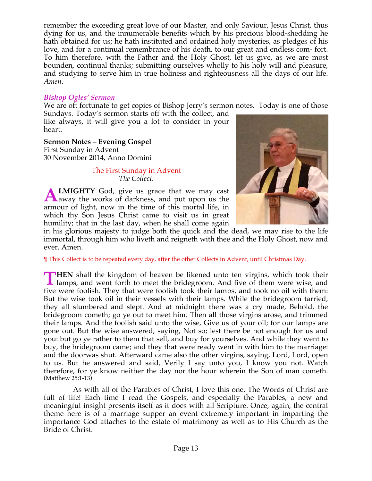remember the exceeding great love of our Master, and only Saviour, Jesus Christ, thus dying for us, and the innumerable benefits which by his precious blood-shedding he hath obtained for us; he hath instituted and ordained holy mysteries, as pledges of his love, and for a continual remembrance of his death, to our great and endless com- fort. To him therefore, with the Father and the Holy Ghost, let us give, as we are most bounden, continual thanks; submitting ourselves wholly to his holy will and pleasure, and studying to serve him in true holiness and righteousness all the days of our life. *Amen*.

## *Bishop Ogles' Sermon*

We are oft fortunate to get copies of Bishop Jerry's sermon notes. Today is one of those

Sundays. Today's sermon starts off with the collect, and like always, it will give you a lot to consider in your heart.

**Sermon Notes – Evening Gospel** First Sunday in Advent 30 November 2014, Anno Domini

> The First Sunday in Advent *The Collect.*

**LMIGHTY** God, give us grace that we may cast **ALMIGHTY** God, give us grace that we may cast away the works of darkness, and put upon us the distribution of the theorem of the theorem of the theorem of the theorem of the theorem of the theorem of the theorem of the th armour of light, now in the time of this mortal life, in which thy Son Jesus Christ came to visit us in great humility; that in the last day, when he shall come again



in his glorious majesty to judge both the quick and the dead, we may rise to the life immortal, through him who liveth and reigneth with thee and the Holy Ghost, now and ever. Amen.

¶ This Collect is to be repeated every day, after the other Collects in Advent, until Christmas Day.

**HEN** shall the kingdom of heaven be likened unto ten virgins, which took their lamps, and went forth to meet the bridegroom. And five of them were wise, and **L** lamps, and went forth to meet the bridegroom. And five of them were wise, and five were foolish. They that were foolish took their lamps, and took no oil with them: But the wise took oil in their vessels with their lamps. While the bridegroom tarried, they all slumbered and slept. And at midnight there was a cry made, Behold, the bridegroom cometh; go ye out to meet him. Then all those virgins arose, and trimmed their lamps. And the foolish said unto the wise, Give us of your oil; for our lamps are gone out. But the wise answered, saying, Not so; lest there be not enough for us and you: but go ye rather to them that sell, and buy for yourselves. And while they went to buy, the bridegroom came; and they that were ready went in with him to the marriage: and the doorwas shut. Afterward came also the other virgins, saying, Lord, Lord, open to us. But he answered and said, Verily I say unto you, I know you not. Watch therefore, for ye know neither the day nor the hour wherein the Son of man cometh. (Matthew 25:1-13)

As with all of the Parables of Christ, I love this one. The Words of Christ are full of life! Each time I read the Gospels, and especially the Parables, a new and meaningful insight presents itself as it does with all Scripture. Once, again, the central theme here is of a marriage supper an event extremely important in imparting the importance God attaches to the estate of matrimony as well as to His Church as the Bride of Christ.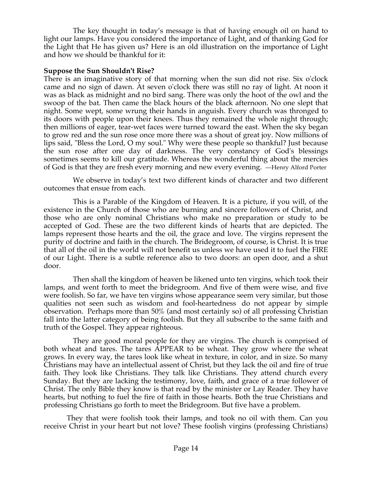The key thought in today's message is that of having enough oil on hand to light our lamps. Have you considered the importance of Light, and of thanking God for the Light that He has given us? Here is an old illustration on the importance of Light and how we should be thankful for it:

#### **Suppose the Sun Shouldn't Rise?**

There is an imaginative story of that morning when the sun did not rise. Six o'clock came and no sign of dawn. At seven o'clock there was still no ray of light. At noon it was as black as midnight and no bird sang. There was only the hoot of the owl and the swoop of the bat. Then came the black hours of the black afternoon. No one slept that night. Some wept, some wrung their hands in anguish. Every church was thronged to its doors with people upon their knees. Thus they remained the whole night through; then millions of eager, tear-wet faces were turned toward the east. When the sky began to grow red and the sun rose once more there was a shout of great joy. Now millions of lips said, "Bless the Lord, O my soul." Why were these people so thankful? Just because the sun rose after one day of darkness. The very constancy of God's blessings sometimes seems to kill our gratitude. Whereas the wonderful thing about the mercies of God is that they are fresh every morning and new every evening. —Henry Alford Porter

We observe in today's text two different kinds of character and two different outcomes that ensue from each.

This is a Parable of the Kingdom of Heaven. It is a picture, if you will, of the existence in the Church of those who are burning and sincere followers of Christ, and those who are only nominal Christians who make no preparation or study to be accepted of God. These are the two different kinds of hearts that are depicted. The lamps represent those hearts and the oil, the grace and love. The virgins represent the purity of doctrine and faith in the church. The Bridegroom, of course, is Christ. It is true that all of the oil in the world will not benefit us unless we have used it to fuel the FIRE of our Light. There is a subtle reference also to two doors: an open door, and a shut door.

Then shall the kingdom of heaven be likened unto ten virgins, which took their lamps, and went forth to meet the bridegroom. And five of them were wise, and five were foolish. So far, we have ten virgins whose appearance seem very similar, but those qualities not seen such as wisdom and fool-heartedness do not appear by simple observation. Perhaps more than 50% (and most certainly so) of all professing Christian fall into the latter category of being foolish. But they all subscribe to the same faith and truth of the Gospel. They appear righteous.

They are good moral people for they are virgins. The church is comprised of both wheat and tares. The tares APPEAR to be wheat. They grow where the wheat grows. In every way, the tares look like wheat in texture, in color, and in size. So many Christians may have an intellectual assent of Christ, but they lack the oil and fire of true faith. They look like Christians. They talk like Christians. They attend church every Sunday. But they are lacking the testimony, love, faith, and grace of a true follower of Christ. The only Bible they know is that read by the minister or Lay Reader. They have hearts, but nothing to fuel the fire of faith in those hearts. Both the true Christians and professing Christians go forth to meet the Bridegroom. But five have a problem.

 They that were foolish took their lamps, and took no oil with them. Can you receive Christ in your heart but not love? These foolish virgins (professing Christians)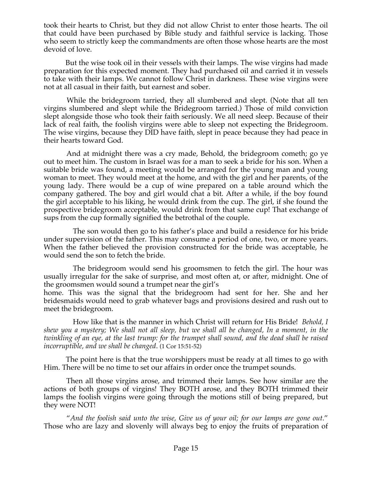took their hearts to Christ, but they did not allow Christ to enter those hearts. The oil that could have been purchased by Bible study and faithful service is lacking. Those who seem to strictly keep the commandments are often those whose hearts are the most devoid of love.

 But the wise took oil in their vessels with their lamps. The wise virgins had made preparation for this expected moment. They had purchased oil and carried it in vessels to take with their lamps. We cannot follow Christ in darkness. These wise virgins were not at all casual in their faith, but earnest and sober.

 While the bridegroom tarried, they all slumbered and slept. (Note that all ten virgins slumbered and slept while the Bridegroom tarried.) Those of mild conviction slept alongside those who took their faith seriously. We all need sleep. Because of their lack of real faith, the foolish virgins were able to sleep not expecting the Bridegroom. The wise virgins, because they DID have faith, slept in peace because they had peace in their hearts toward God.

 And at midnight there was a cry made, Behold, the bridegroom cometh; go ye out to meet him. The custom in Israel was for a man to seek a bride for his son. When a suitable bride was found, a meeting would be arranged for the young man and young woman to meet. They would meet at the home, and with the girl and her parents, of the young lady. There would be a cup of wine prepared on a table around which the company gathered. The boy and girl would chat a bit. After a while, if the boy found the girl acceptable to his liking, he would drink from the cup. The girl, if she found the prospective bridegroom acceptable, would drink from that same cup! That exchange of sups from the cup formally signified the betrothal of the couple.

The son would then go to his father's place and build a residence for his bride under supervision of the father. This may consume a period of one, two, or more years. When the father believed the provision constructed for the bride was acceptable, he would send the son to fetch the bride.

The bridegroom would send his groomsmen to fetch the girl. The hour was usually irregular for the sake of surprise, and most often at, or after, midnight. One of the groomsmen would sound a trumpet near the girl's

home. This was the signal that the bridegroom had sent for her. She and her bridesmaids would need to grab whatever bags and provisions desired and rush out to meet the bridegroom.

How like that is the manner in which Christ will return for His Bride! *Behold, I shew you a mystery; We shall not all sleep, but we shall all be changed, In a moment, in the twinkling of an eye, at the last trump: for the trumpet shall sound, and the dead shall be raised incorruptible, and we shall be changed*. (1 Cor 15:51-52)

 The point here is that the true worshippers must be ready at all times to go with Him. There will be no time to set our affairs in order once the trumpet sounds.

 Then all those virgins arose, and trimmed their lamps. See how similar are the actions of both groups of virgins! They BOTH arose, and they BOTH trimmed their lamps the foolish virgins were going through the motions still of being prepared, but they were NOT!

 "*And the foolish said unto the wise, Give us of your oil; for our lamps are gone out*." Those who are lazy and slovenly will always beg to enjoy the fruits of preparation of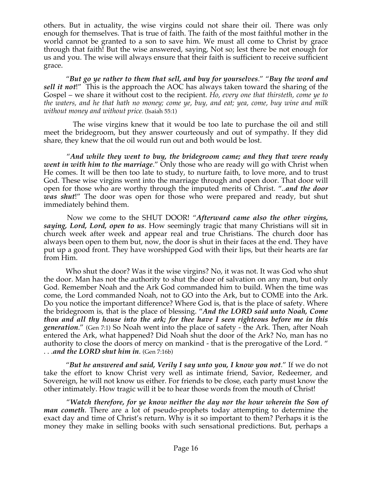others. But in actuality, the wise virgins could not share their oil. There was only enough for themselves. That is true of faith. The faith of the most faithful mother in the world cannot be granted to a son to save him. We must all come to Christ by grace through that faith! But the wise answered, saying, Not so; lest there be not enough for us and you. The wise will always ensure that their faith is sufficient to receive sufficient grace.

 "*But go ye rather to them that sell, and buy for yourselves*." "*Buy the word and sell it not*!" This is the approach the AOC has always taken toward the sharing of the Gospel – we share it without cost to the recipient. *Ho, every one that thirsteth, come ye to the waters, and he that hath no money; come ye, buy, and eat; yea, come, buy wine and milk without money and without price.* (Isaiah 55:1)

The wise virgins knew that it would be too late to purchase the oil and still meet the bridegroom, but they answer courteously and out of sympathy. If they did share, they knew that the oil would run out and both would be lost.

 "*And while they went to buy, the bridegroom came; and they that were ready went in with him to the marriage*." Only those who are ready will go with Christ when He comes. It will be then too late to study, to nurture faith, to love more, and to trust God. These wise virgins went into the marriage through and open door. That door will open for those who are worthy through the imputed merits of Christ. "..*and the door was shut*!" The door was open for those who were prepared and ready, but shut immediately behind them.

 Now we come to the SHUT DOOR! "*Afterward came also the other virgins, saying, Lord, Lord, open to us*. How seemingly tragic that many Christians will sit in church week after week and appear real and true Christians. The church door has always been open to them but, now, the door is shut in their faces at the end. They have put up a good front. They have worshipped God with their lips, but their hearts are far from Him.

 Who shut the door? Was it the wise virgins? No, it was not. It was God who shut the door. Man has not the authority to shut the door of salvation on any man, but only God. Remember Noah and the Ark God commanded him to build. When the time was come, the Lord commanded Noah, not to GO into the Ark, but to COME into the Ark. Do you notice the important difference? Where God is, that is the place of safety. Where the bridegroom is, that is the place of blessing. "*And the LORD said unto Noah, Come thou and all thy house into the ark; for thee have I seen righteous before me in this generation*." (Gen 7:1) So Noah went into the place of safety - the Ark. Then, after Noah entered the Ark, what happened? Did Noah shut the door of the Ark? No, man has no authority to close the doors of mercy on mankind - that is the prerogative of the Lord. " . . .*and the LORD shut him in*. (Gen 7:16b)

 "*But he answered and said, Verily I say unto you, I know you not*." If we do not take the effort to know Christ very well as intimate friend, Savior, Redeemer, and Sovereign, he will not know us either. For friends to be close, each party must know the other intimately. How tragic will it be to hear those words from the mouth of Christ!

 "*Watch therefore, for ye know neither the day nor the hour wherein the Son of man cometh*. There are a lot of pseudo-prophets today attempting to determine the exact day and time of Christ's return. Why is it so important to them? Perhaps it is the money they make in selling books with such sensational predictions. But, perhaps a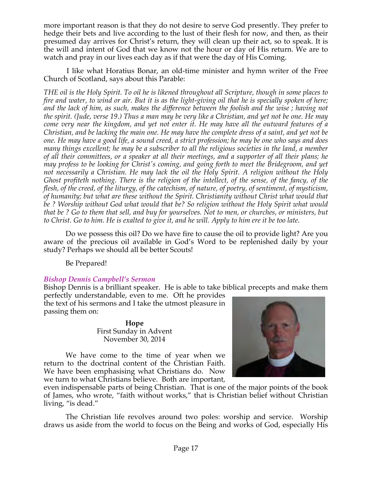more important reason is that they do not desire to serve God presently. They prefer to hedge their bets and live according to the lust of their flesh for now, and then, as their presumed day arrives for Christ's return, they will clean up their act, so to speak. It is the will and intent of God that we know not the hour or day of His return. We are to watch and pray in our lives each day as if that were the day of His Coming.

 I like what Horatius Bonar, an old-time minister and hymn writer of the Free Church of Scotland, says about this Parable:

*THE oil is the Holy Spirit. To oil he is likened throughout all Scripture, though in some places to fire and water, to wind or air. But it is as the light-giving oil that he is specially spoken of here;*  and the lack of him, as such, makes the difference between the foolish and the wise; having not *the spirit. (Jude, verse 19.) Thus a man may be very like a Christian, and yet not be one. He may come very near the kingdom, and yet not enter it. He may have all the outward features of a Christian, and be lacking the main one. He may have the complete dress of a saint, and yet not be one. He may have a good life, a sound creed, a strict profession; he may be one who says and does many things excellent; he may be a subscriber to all the religious societies in the land, a member of all their committees, or a speaker at all their meetings, and a supporter of all their plans; he may profess to be looking for Christ's coming, and going forth to meet the Bridegroom, and yet not necessarily a Christian. He may lack the oil the Holy Spirit. A religion without the Holy Ghost profiteth nothing. There is the religion of the intellect, of the sense, of the fancy, of the flesh, of the creed, of the liturgy, of the catechism, of nature, of poetry, of sentiment, of mysticism, of humanity; but what are these without the Spirit. Christianity without Christ what would that be ? Worship without God what would that be? So religion without the Holy Spirit what would that be ? Go to them that sell, and buy for yourselves. Not to men, or churches, or ministers, but to Christ. Go to him. He is exalted to give it, and he will. Apply to him ere it be too late*.

 Do we possess this oil? Do we have fire to cause the oil to provide light? Are you aware of the precious oil available in God's Word to be replenished daily by your study? Perhaps we should all be better Scouts!

Be Prepared!

## *Bishop Dennis Campbell's Sermon*

Bishop Dennis is a brilliant speaker. He is able to take biblical precepts and make them

perfectly understandable, even to me. Oft he provides the text of his sermons and I take the utmost pleasure in passing them on:

> **Hope** First Sunday in Advent November 30, 2014

We have come to the time of year when we return to the doctrinal content of the Christian Faith. We have been emphasising what Christians do. Now we turn to what Christians believe. Both are important,



even indispensable parts of being Christian. That is one of the major points of the book of James, who wrote, "faith without works," that is Christian belief without Christian living, "is dead."

The Christian life revolves around two poles: worship and service. Worship draws us aside from the world to focus on the Being and works of God, especially His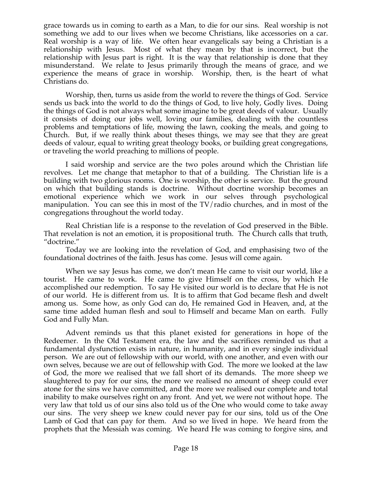grace towards us in coming to earth as a Man, to die for our sins. Real worship is not something we add to our lives when we become Christians, like accessories on a car. Real worship is a way of life. We often hear evangelicals say being a Christian is a relationship with Jesus. Most of what they mean by that is incorrect, but the relationship with Jesus part is right. It is the way that relationship is done that they misunderstand. We relate to Jesus primarily through the means of grace, and we experience the means of grace in worship. Worship, then, is the heart of what Christians do.

Worship, then, turns us aside from the world to revere the things of God. Service sends us back into the world to do the things of God, to live holy, Godly lives. Doing the things of God is not always what some imagine to be great deeds of valour. Usually it consists of doing our jobs well, loving our families, dealing with the countless problems and temptations of life, mowing the lawn, cooking the meals, and going to Church. But, if we really think about theses things, we may see that they are great deeds of valour, equal to writing great theology books, or building great congregations, or traveling the world preaching to millions of people.

I said worship and service are the two poles around which the Christian life revolves. Let me change that metaphor to that of a building. The Christian life is a building with two glorious rooms. One is worship, the other is service. But the ground on which that building stands is doctrine. Without docrtine worship becomes an emotional experience which we work in our selves through psychological manipulation. You can see this in most of the TV/radio churches, and in most of the congregations throughout the world today.

Real Christian life is a response to the revelation of God preserved in the Bible. That revelation is not an emotion, it is propositional truth. The Church calls that truth, "doctrine."

Today we are looking into the revelation of God, and emphasising two of the foundational doctrines of the faith. Jesus has come. Jesus will come again.

When we say Jesus has come, we don't mean He came to visit our world, like a tourist. He came to work. He came to give Himself on the cross, by which He accomplished our redemption. To say He visited our world is to declare that He is not of our world. He is different from us. It is to affirm that God became flesh and dwelt among us. Some how, as only God can do, He remained God in Heaven, and, at the same time added human flesh and soul to Himself and became Man on earth. Fully God and Fully Man.

Advent reminds us that this planet existed for generations in hope of the Redeemer. In the Old Testament era, the law and the sacrifices reminded us that a fundamental dysfunction exists in nature, in humanity, and in every single individual person. We are out of fellowship with our world, with one another, and even with our own selves, because we are out of fellowship with God. The more we looked at the law of God, the more we realised that we fall short of its demands. The more sheep we slaughtered to pay for our sins, the more we realised no amount of sheep could ever atone for the sins we have committed, and the more we realised our complete and total inability to make ourselves right on any front. And yet, we were not without hope. The very law that told us of our sins also told us of the One who would come to take away our sins. The very sheep we knew could never pay for our sins, told us of the One Lamb of God that can pay for them. And so we lived in hope. We heard from the prophets that the Messiah was coming. We heard He was coming to forgive sins, and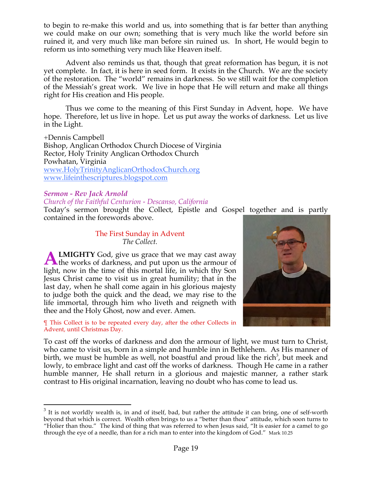to begin to re-make this world and us, into something that is far better than anything we could make on our own; something that is very much like the world before sin ruined it, and very much like man before sin ruined us. In short, He would begin to reform us into something very much like Heaven itself.

Advent also reminds us that, though that great reformation has begun, it is not yet complete. In fact, it is here in seed form. It exists in the Church. We are the society of the restoration. The "world" remains in darkness. So we still wait for the completion of the Messiah's great work. We live in hope that He will return and make all things right for His creation and His people.

Thus we come to the meaning of this First Sunday in Advent, hope. We have hope. Therefore, let us live in hope. Let us put away the works of darkness. Let us live in the Light.

+Dennis Campbell Bishop, Anglican Orthodox Church Diocese of Virginia Rector, Holy Trinity Anglican Orthodox Church Powhatan, Virginia www.HolyTrinityAnglicanOrthodoxChurch.org www.lifeinthescriptures.blogspot.com

#### *Sermon - Rev Jack Arnold*

#### *Church of the Faithful Centurion - Descanso, California*

Today's sermon brought the Collect, Epistle and Gospel together and is partly contained in the forewords above.

> The First Sunday in Advent *The Collect.*

**LMIGHTY** God, give us grace that we may cast away **ALMIGHTY** God, give us grace that we may cast away the works of darkness, and put upon us the armour of light, now in the time of this mortal life, in which thy Son Jesus Christ came to visit us in great humility; that in the last day, when he shall come again in his glorious majesty to judge both the quick and the dead, we may rise to the life immortal, through him who liveth and reigneth with thee and the Holy Ghost, now and ever. Amen.

¶ This Collect is to be repeated every day, after the other Collects in Advent, until Christmas Day.



To cast off the works of darkness and don the armour of light, we must turn to Christ, who came to visit us, born in a simple and humble inn in Bethlehem. As His manner of birth, we must be humble as well, not boastful and proud like the rich<sup>3</sup>, but meek and lowly, to embrace light and cast off the works of darkness. Though He came in a rather humble manner, He shall return in a glorious and majestic manner, a rather stark contrast to His original incarnation, leaving no doubt who has come to lead us.

 $3$  It is not worldly wealth is, in and of itself, bad, but rather the attitude it can bring, one of self-worth beyond that which is correct. Wealth often brings to us a "better than thou" attitude, which soon turns to "Holier than thou." The kind of thing that was referred to when Jesus said, "It is easier for a camel to go through the eye of a needle, than for a rich man to enter into the kingdom of God." Mark 10.25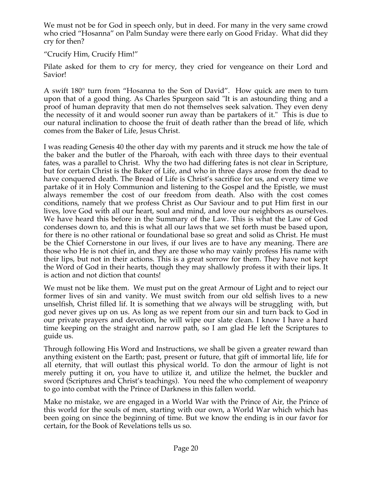We must not be for God in speech only, but in deed. For many in the very same crowd who cried "Hosanna" on Palm Sunday were there early on Good Friday. What did they cry for then?

"Crucify Him, Crucify Him!"

Pilate asked for them to cry for mercy, they cried for vengeance on their Lord and Savior!

A swift 180° turn from "Hosanna to the Son of David". How quick are men to turn upon that of a good thing. As Charles Spurgeon said "It is an astounding thing and a proof of human depravity that men do not themselves seek salvation. They even deny the necessity of it and would sooner run away than be partakers of it." This is due to our natural inclination to choose the fruit of death rather than the bread of life, which comes from the Baker of Life, Jesus Christ.

I was reading Genesis 40 the other day with my parents and it struck me how the tale of the baker and the butler of the Pharoah, with each with three days to their eventual fates, was a parallel to Christ. Why the two had differing fates is not clear in Scripture, but for certain Christ is the Baker of Life, and who in three days arose from the dead to have conquered death. The Bread of Life is Christ's sacrifice for us, and every time we partake of it in Holy Communion and listening to the Gospel and the Epistle, we must always remember the cost of our freedom from death. Also with the cost comes conditions, namely that we profess Christ as Our Saviour and to put Him first in our lives, love God with all our heart, soul and mind, and love our neighbors as ourselves. We have heard this before in the Summary of the Law. This is what the Law of God condenses down to, and this is what all our laws that we set forth must be based upon, for there is no other rational or foundational base so great and solid as Christ. He must be the Chief Cornerstone in our lives, if our lives are to have any meaning. There are those who He is not chief in, and they are those who may vainly profess His name with their lips, but not in their actions. This is a great sorrow for them. They have not kept the Word of God in their hearts, though they may shallowly profess it with their lips. It is action and not diction that counts!

We must not be like them. We must put on the great Armour of Light and to reject our former lives of sin and vanity. We must switch from our old selfish lives to a new unselfish, Christ filled lif. It is something that we always will be struggling with, but god never gives up on us. As long as we repent from our sin and turn back to God in our private prayers and devotion, he will wipe our slate clean. I know I have a hard time keeping on the straight and narrow path, so I am glad He left the Scriptures to guide us.

Through following His Word and Instructions, we shall be given a greater reward than anything existent on the Earth; past, present or future, that gift of immortal life, life for all eternity, that will outlast this physical world. To don the armour of light is not merely putting it on, you have to utilize it, and utilize the helmet, the buckler and sword (Scriptures and Christ's teachings). You need the who complement of weaponry to go into combat with the Prince of Darkness in this fallen world.

Make no mistake, we are engaged in a World War with the Prince of Air, the Prince of this world for the souls of men, starting with our own, a World War which which has been going on since the beginning of time. But we know the ending is in our favor for certain, for the Book of Revelations tells us so.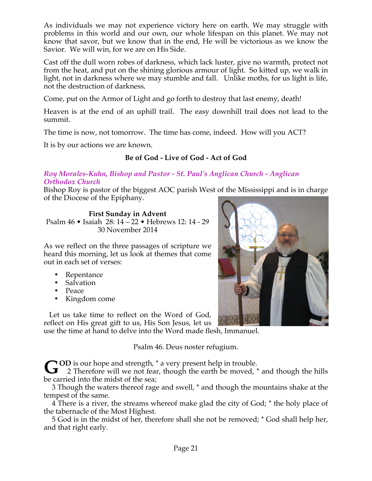As individuals we may not experience victory here on earth. We may struggle with problems in this world and our own, our whole lifespan on this planet. We may not know that savor, but we know that in the end, He will be victorious as we know the Savior. We will win, for we are on His Side.

Cast off the dull worn robes of darkness, which lack luster, give no warmth, protect not from the heat, and put on the shining glorious armour of light. So kitted up, we walk in light, not in darkness where we may stumble and fall. Unlike moths, for us light is life, not the destruction of darkness.

Come, put on the Armor of Light and go forth to destroy that last enemy, death!

Heaven is at the end of an uphill trail. The easy downhill trail does not lead to the summit.

The time is now, not tomorrow. The time has come, indeed. How will you ACT?

It is by our actions we are known.

# **Be of God - Live of God - Act of God**

#### *Roy Morales-Kuhn, Bishop and Pastor - St. Paul's Anglican Church - Anglican Orthodox Church*

Bishop Roy is pastor of the biggest AOC parish West of the Mississippi and is in charge of the Diocese of the Epiphany.

# **First Sunday in Advent**  Psalm 46 • Isaiah 28: 14 – 22 • Hebrews 12: 14 - 29

30 November 2014

As we reflect on the three passages of scripture we heard this morning, let us look at themes that come out in each set of verses:

- Repentance
- Salvation
- Peace
- Kingdom come

 Let us take time to reflect on the Word of God, reflect on His great gift to us, His Son Jesus, let us

use the time at hand to delve into the Word made flesh, Immanuel.

Psalm 46. Deus noster refugium.

**OD** is our hope and strength, \* a very present help in trouble. **COD** is our hope and strength,  $*$  a very present help in trouble.<br>
<sup>2</sup> Therefore will we not fear, though the earth be moved,  $*$  and though the hills be carried into the midst of the sea;

3 Though the waters thereof rage and swell, \* and though the mountains shake at the tempest of the same.

4 There is a river, the streams whereof make glad the city of God; \* the holy place of the tabernacle of the Most Highest.

5 God is in the midst of her, therefore shall she not be removed; \* God shall help her, and that right early.

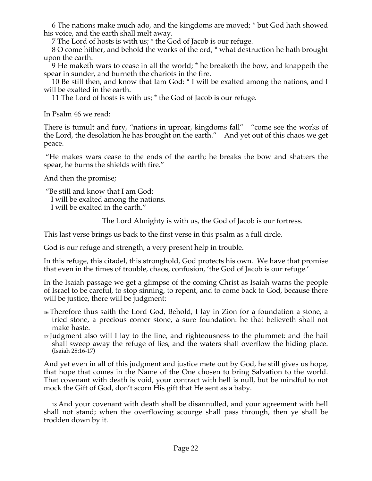6 The nations make much ado, and the kingdoms are moved; \* but God hath showed his voice, and the earth shall melt away.

7 The Lord of hosts is with us; \* the God of Jacob is our refuge.

8 O come hither, and behold the works of the ord, \* what destruction he hath brought upon the earth.

9 He maketh wars to cease in all the world; \* he breaketh the bow, and knappeth the spear in sunder, and burneth the chariots in the fire.

10 Be still then, and know that Iam God: \* I will be exalted among the nations, and I will be exalted in the earth.

11 The Lord of hosts is with us; \* the God of Jacob is our refuge.

In Psalm 46 we read:

There is tumult and fury, "nations in uproar, kingdoms fall" "come see the works of the Lord, the desolation he has brought on the earth." And yet out of this chaos we get peace.

 "He makes wars cease to the ends of the earth; he breaks the bow and shatters the spear, he burns the shields with fire."

And then the promise;

"Be still and know that I am God;

I will be exalted among the nations.

I will be exalted in the earth."

The Lord Almighty is with us, the God of Jacob is our fortress.

This last verse brings us back to the first verse in this psalm as a full circle.

God is our refuge and strength, a very present help in trouble.

In this refuge, this citadel, this stronghold, God protects his own. We have that promise that even in the times of trouble, chaos, confusion, 'the God of Jacob is our refuge.'

In the Isaiah passage we get a glimpse of the coming Christ as Isaiah warns the people of Israel to be careful, to stop sinning, to repent, and to come back to God, because there will be justice, there will be judgment:

- **<sup>16</sup>** Therefore thus saith the Lord God, Behold, I lay in Zion for a foundation a stone, a tried stone, a precious corner stone, a sure foundation: he that believeth shall not make haste.
- **<sup>17</sup>** Judgment also will I lay to the line, and righteousness to the plummet: and the hail shall sweep away the refuge of lies, and the waters shall overflow the hiding place. (Isaiah 28:16-17)

And yet even in all of this judgment and justice mete out by God, he still gives us hope, that hope that comes in the Name of the One chosen to bring Salvation to the world. That covenant with death is void, your contract with hell is null, but be mindful to not mock the Gift of God, don't scorn His gift that He sent as a baby.

18 And your covenant with death shall be disannulled, and your agreement with hell shall not stand; when the overflowing scourge shall pass through, then ye shall be trodden down by it.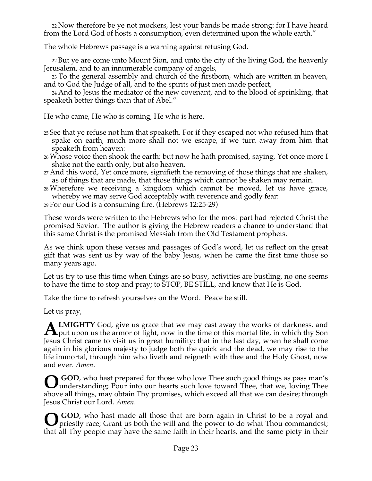22 Now therefore be ye not mockers, lest your bands be made strong: for I have heard from the Lord God of hosts a consumption, even determined upon the whole earth."

The whole Hebrews passage is a warning against refusing God.

22 But ye are come unto Mount Sion, and unto the city of the living God, the heavenly Jerusalem, and to an innumerable company of angels,

23 To the general assembly and church of the firstborn, which are written in heaven, and to God the Judge of all, and to the spirits of just men made perfect,

24 And to Jesus the mediator of the new covenant, and to the blood of sprinkling, that speaketh better things than that of Abel."

He who came, He who is coming, He who is here.

- <sup>25</sup> See that ye refuse not him that speaketh. For if they escaped not who refused him that spake on earth, much more shall not we escape, if we turn away from him that speaketh from heaven:
- <sup>26</sup> Whose voice then shook the earth: but now he hath promised, saying, Yet once more I shake not the earth only, but also heaven.
- <sup>27</sup> And this word, Yet once more, signifieth the removing of those things that are shaken, as of things that are made, that those things which cannot be shaken may remain.
- <sup>28</sup> Wherefore we receiving a kingdom which cannot be moved, let us have grace, whereby we may serve God acceptably with reverence and godly fear:
- <sup>29</sup> For our God is a consuming fire. (Hebrews 12:25-29)

These words were written to the Hebrews who for the most part had rejected Christ the promised Savior. The author is giving the Hebrew readers a chance to understand that this same Christ is the promised Messiah from the Old Testament prophets.

As we think upon these verses and passages of God's word, let us reflect on the great gift that was sent us by way of the baby Jesus, when he came the first time those so many years ago.

Let us try to use this time when things are so busy, activities are bustling, no one seems to have the time to stop and pray; to STOP, BE STILL, and know that He is God.

Take the time to refresh yourselves on the Word. Peace be still.

Let us pray,

**LMIGHTY** God, give us grace that we may cast away the works of darkness, and **ALMIGHTY** God, give us grace that we may cast away the works of darkness, and put upon us the armor of light, now in the time of this mortal life, in which thy Son Jesus Christ came to visit us in great humility; that in the last day, when he shall come again in his glorious majesty to judge both the quick and the dead, we may rise to the life immortal, through him who liveth and reigneth with thee and the Holy Ghost, now and ever. *Amen*.

 **GOD**, who hast prepared for those who love Thee such good things as pass man's **O** GOD, who hast prepared for those who love Thee such good things as pass man's understanding; Pour into our hearts such love toward Thee, that we, loving Thee above all things, may obtain Thy promises, which exceed all that we can desire; through Jesus Christ our Lord. *Amen*.

**GOD**, who hast made all those that are born again in Christ to be a royal and **O** GOD, who hast made all those that are born again in Christ to be a royal and priestly race; Grant us both the will and the power to do what Thou commandest; that all Thy people may have the same faith in their hearts, and the same piety in their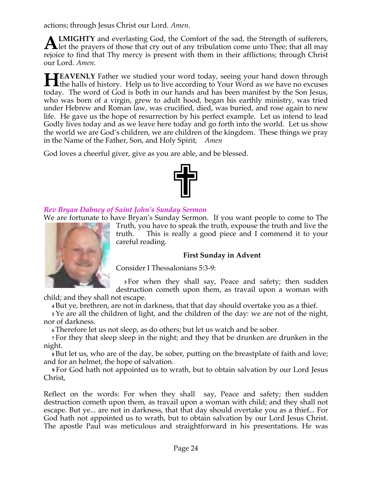actions; through Jesus Christ our Lord. *Amen*.

**LMIGHTY** and everlasting God, the Comfort of the sad, the Strength of sufferers, **ALMIGHTY** and everlasting God, the Comfort of the sad, the Strength of sufferers,<br>let the prayers of those that cry out of any tribulation come unto Thee; that all may rejoice to find that Thy mercy is present with them in their afflictions; through Christ our Lord. *Amen*.

**EXTEAVENLY** Father we studied your word today, seeing your hand down through **the halls of history.** Help us to live according to Your Word as we have no excuses the halls of history. Help us to live according to Your Word as we have no excuses today. The word of God is both in our hands and has been manifest by the Son Jesus, who was born of a virgin, grew to adult hood, began his earthly ministry, was tried under Hebrew and Roman law, was crucified, died, was buried, and rose again to new life. He gave us the hope of resurrection by his perfect example. Let us intend to lead Godly lives today and as we leave here today and go forth into the world. Let us show the world we are God's children, we are children of the kingdom. These things we pray in the Name of the Father, Son, and Holy Spirit, *Amen*

God loves a cheerful giver, give as you are able, and be blessed.



# *Rev Bryan Dabney of Saint John's Sunday Sermon*

We are fortunate to have Bryan's Sunday Sermon. If you want people to come to The



Truth, you have to speak the truth, expouse the truth and live the truth. This is really a good piece and I commend it to your careful reading.

# **First Sunday in Advent**

Consider I Thessalonians 5:3-9:

**<sup>3</sup>** For when they shall say, Peace and safety; then sudden destruction cometh upon them, as travail upon a woman with

child; and they shall not escape.

**<sup>4</sup>** But ye, brethren, are not in darkness, that that day should overtake you as a thief.

**<sup>5</sup>** Ye are all the children of light, and the children of the day: we are not of the night, nor of darkness.

**<sup>6</sup>** Therefore let us not sleep, as do others; but let us watch and be sober.

**<sup>7</sup>** For they that sleep sleep in the night; and they that be drunken are drunken in the night.

**<sup>8</sup>** But let us, who are of the day, be sober, putting on the breastplate of faith and love; and for an helmet, the hope of salvation.

**9** For God hath not appointed us to wrath, but to obtain salvation by our Lord Jesus Christ,

Reflect on the words: For when they shall say, Peace and safety; then sudden destruction cometh upon them, as travail upon a woman with child; and they shall not escape. But ye... are not in darkness, that that day should overtake you as a thief... For God hath not appointed us to wrath, but to obtain salvation by our Lord Jesus Christ. The apostle Paul was meticulous and straightforward in his presentations. He was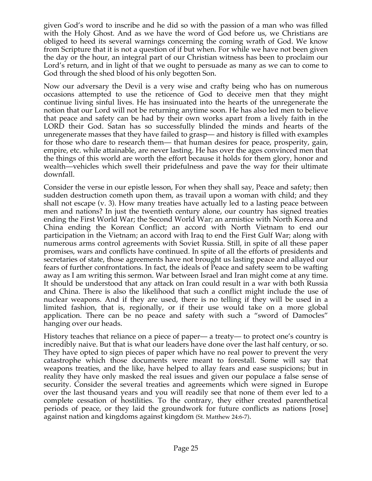given God's word to inscribe and he did so with the passion of a man who was filled with the Holy Ghost. And as we have the word of God before us, we Christians are obliged to heed its several warnings concerning the coming wrath of God. We know from Scripture that it is not a question of if but when. For while we have not been given the day or the hour, an integral part of our Christian witness has been to proclaim our Lord's return, and in light of that we ought to persuade as many as we can to come to God through the shed blood of his only begotten Son.

Now our adversary the Devil is a very wise and crafty being who has on numerous occasions attempted to use the reticence of God to deceive men that they might continue living sinful lives. He has insinuated into the hearts of the unregenerate the notion that our Lord will not be returning anytime soon. He has also led men to believe that peace and safety can be had by their own works apart from a lively faith in the LORD their God. Satan has so successfully blinded the minds and hearts of the unregenerate masses that they have failed to grasp— and history is filled with examples for those who dare to research them— that human desires for peace, prosperity, gain, empire, etc. while attainable, are never lasting. He has over the ages convinced men that the things of this world are worth the effort because it holds for them glory, honor and wealth—vehicles which swell their pridefulness and pave the way for their ultimate downfall.

Consider the verse in our epistle lesson, For when they shall say, Peace and safety; then sudden destruction cometh upon them, as travail upon a woman with child; and they shall not escape (v. 3). How many treaties have actually led to a lasting peace between men and nations? In just the twentieth century alone, our country has signed treaties ending the First World War; the Second World War; an armistice with North Korea and China ending the Korean Conflict; an accord with North Vietnam to end our participation in the Vietnam; an accord with Iraq to end the First Gulf War; along with numerous arms control agreements with Soviet Russia. Still, in spite of all these paper promises, wars and conflicts have continued. In spite of all the efforts of presidents and secretaries of state, those agreements have not brought us lasting peace and allayed our fears of further confrontations. In fact, the ideals of Peace and safety seem to be wafting away as I am writing this sermon. War between Israel and Iran might come at any time. It should be understood that any attack on Iran could result in a war with both Russia and China. There is also the likelihood that such a conflict might include the use of nuclear weapons. And if they are used, there is no telling if they will be used in a limited fashion, that is, regionally, or if their use would take on a more global application. There can be no peace and safety with such a "sword of Damocles" hanging over our heads.

History teaches that reliance on a piece of paper— a treaty— to protect one's country is incredibly naive. But that is what our leaders have done over the last half century, or so. They have opted to sign pieces of paper which have no real power to prevent the very catastrophe which those documents were meant to forestall. Some will say that weapons treaties, and the like, have helped to allay fears and ease suspicions; but in reality they have only masked the real issues and given our populace a false sense of security. Consider the several treaties and agreements which were signed in Europe over the last thousand years and you will readily see that none of them ever led to a complete cessation of hostilities. To the contrary, they either created parenthetical periods of peace, or they laid the groundwork for future conflicts as nations [rose] against nation and kingdoms against kingdom (St. Matthew 24:6-7).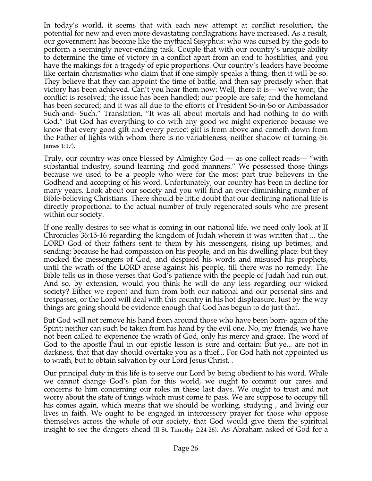In today's world, it seems that with each new attempt at conflict resolution, the potential for new and even more devastating conflagrations have increased. As a result, our government has become like the mythical Sisyphus: who was cursed by the gods to perform a seemingly never-ending task. Couple that with our country's unique ability to determine the time of victory in a conflict apart from an end to hostilities, and you have the makings for a tragedy of epic proportions. Our country's leaders have become like certain charismatics who claim that if one simply speaks a thing, then it will be so. They believe that they can appoint the time of battle, and then say precisely when that victory has been achieved. Can't you hear them now: Well, there it is— we've won; the conflict is resolved; the issue has been handled; our people are safe; and the homeland has been secured; and it was all due to the efforts of President So-in-So or Ambassador Such-and- Such." Translation, "It was all about mortals and had nothing to do with God." But God has everything to do with any good we might experience because we know that every good gift and every perfect gift is from above and cometh down from the Father of lights with whom there is no variableness, neither shadow of turning (St. James 1:17).

Truly, our country was once blessed by Almighty God — as one collect reads— "with substantial industry, sound learning and good manners." We possessed those things because we used to be a people who were for the most part true believers in the Godhead and accepting of his word. Unfortunately, our country has been in decline for many years. Look about our society and you will find an ever-diminishing number of Bible-believing Christians. There should be little doubt that our declining national life is directly proportional to the actual number of truly regenerated souls who are present within our society.

If one really desires to see what is coming in our national life, we need only look at II Chronicles 36:15-16 regarding the kingdom of Judah wherein it was written that ... the LORD God of their fathers sent to them by his messengers, rising up betimes, and sending; because he had compassion on his people, and on his dwelling place: but they mocked the messengers of God, and despised his words and misused his prophets, until the wrath of the LORD arose against his people, till there was no remedy. The Bible tells us in those verses that God's patience with the people of Judah had run out. And so, by extension, would you think he will do any less regarding our wicked society? Either we repent and turn from both our national and our personal sins and trespasses, or the Lord will deal with this country in his hot displeasure. Just by the way things are going should be evidence enough that God has begun to do just that.

But God will not remove his hand from around those who have been born- again of the Spirit; neither can such be taken from his hand by the evil one. No, my friends, we have not been called to experience the wrath of God, only his mercy and grace. The word of God to the apostle Paul in our epistle lesson is sure and certain: But ye... are not in darkness, that that day should overtake you as a thief... For God hath not appointed us to wrath, but to obtain salvation by our Lord Jesus Christ. .

Our principal duty in this life is to serve our Lord by being obedient to his word. While we cannot change God's plan for this world, we ought to commit our cares and concerns to him concerning our roles in these last days. We ought to trust and not worry about the state of things which must come to pass. We are suppose to occupy till his comes again, which means that we should be working, studying , and living our lives in faith. We ought to be engaged in intercessory prayer for those who oppose themselves across the whole of our society, that God would give them the spiritual insight to see the dangers ahead (II St. Timothy 2:24-26). As Abraham asked of God for a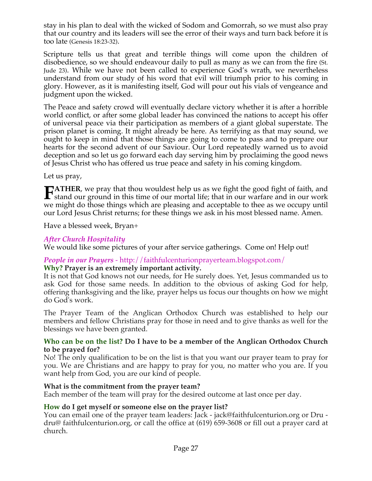stay in his plan to deal with the wicked of Sodom and Gomorrah, so we must also pray that our country and its leaders will see the error of their ways and turn back before it is too late (Genesis 18:23-32).

Scripture tells us that great and terrible things will come upon the children of disobedience, so we should endeavour daily to pull as many as we can from the fire (St. Jude 23). While we have not been called to experience God's wrath, we nevertheless understand from our study of his word that evil will triumph prior to his coming in glory. However, as it is manifesting itself, God will pour out his vials of vengeance and judgment upon the wicked.

The Peace and safety crowd will eventually declare victory whether it is after a horrible world conflict, or after some global leader has convinced the nations to accept his offer of universal peace via their participation as members of a giant global superstate. The prison planet is coming. It might already be here. As terrifying as that may sound, we ought to keep in mind that those things are going to come to pass and to prepare our hearts for the second advent of our Saviour. Our Lord repeatedly warned us to avoid deception and so let us go forward each day serving him by proclaiming the good news of Jesus Christ who has offered us true peace and safety in his coming kingdom.

Let us pray,

**ATHER**, we pray that thou wouldest help us as we fight the good fight of faith, and **FATHER**, we pray that thou wouldest help us as we fight the good fight of faith, and stand our ground in this time of our mortal life; that in our warfare and in our work we might do those things which are pleasing and acceptable to thee as we occupy until our Lord Jesus Christ returns; for these things we ask in his most blessed name. Amen.

Have a blessed week, Bryan+

# *After Church Hospitality*

We would like some pictures of your after service gatherings. Come on! Help out!

# *People in our Prayers* - http://faithfulcenturionprayerteam.blogspot.com/

## **Why? Prayer is an extremely important activity.**

It is not that God knows not our needs, for He surely does. Yet, Jesus commanded us to ask God for those same needs. In addition to the obvious of asking God for help, offering thanksgiving and the like, prayer helps us focus our thoughts on how we might do God's work.

The Prayer Team of the Anglican Orthodox Church was established to help our members and fellow Christians pray for those in need and to give thanks as well for the blessings we have been granted.

#### **Who can be on the list? Do I have to be a member of the Anglican Orthodox Church to be prayed for?**

No! The only qualification to be on the list is that you want our prayer team to pray for you. We are Christians and are happy to pray for you, no matter who you are. If you want help from God, you are our kind of people.

## **What is the commitment from the prayer team?**

Each member of the team will pray for the desired outcome at last once per day.

## **How do I get myself or someone else on the prayer list?**

You can email one of the prayer team leaders: Jack - jack@faithfulcenturion.org or Dru dru@ faithfulcenturion.org, or call the office at (619) 659-3608 or fill out a prayer card at church.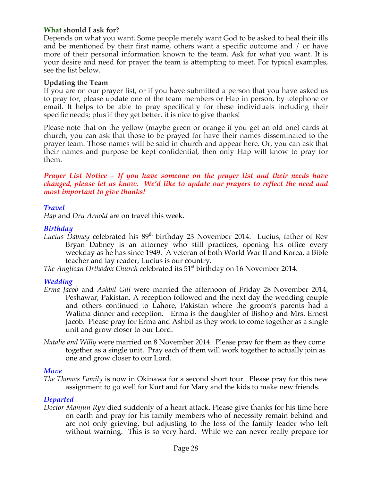## **What should I ask for?**

Depends on what you want. Some people merely want God to be asked to heal their ills and be mentioned by their first name, others want a specific outcome and / or have more of their personal information known to the team. Ask for what you want. It is your desire and need for prayer the team is attempting to meet. For typical examples, see the list below.

## **Updating the Team**

If you are on our prayer list, or if you have submitted a person that you have asked us to pray for, please update one of the team members or Hap in person, by telephone or email. It helps to be able to pray specifically for these individuals including their specific needs; plus if they get better, it is nice to give thanks!

Please note that on the yellow (maybe green or orange if you get an old one) cards at church, you can ask that those to be prayed for have their names disseminated to the prayer team. Those names will be said in church and appear here. Or, you can ask that their names and purpose be kept confidential, then only Hap will know to pray for them.

#### *Prayer List Notice – If you have someone on the prayer list and their needs have changed, please let us know. We'd like to update our prayers to reflect the need and most important to give thanks!*

## *Travel*

*Hap* and *Dru Arnold* are on travel this week.

## *Birthday*

*Lucius Dabney* celebrated his 89<sup>th</sup> birthday 23 November 2014. Lucius, father of Rev Bryan Dabney is an attorney who still practices, opening his office every weekday as he has since 1949. A veteran of both World War II and Korea, a Bible teacher and lay reader, Lucius is our country.

*The Anglican Orthodox Church celebrated its* 51<sup>st</sup> birthday on 16 November 2014.

#### *Wedding*

- *Erma Jacob* and *Ashbil Gill* were married the afternoon of Friday 28 November 2014, Peshawar, Pakistan. A reception followed and the next day the wedding couple and others continued to Lahore, Pakistan where the groom's parents had a Walima dinner and reception. Erma is the daughter of Bishop and Mrs. Ernest Jacob. Please pray for Erma and Ashbil as they work to come together as a single unit and grow closer to our Lord.
- *Natalie and Willy* were married on 8 November 2014. Please pray for them as they come together as a single unit. Pray each of them will work together to actually join as one and grow closer to our Lord.

#### *Move*

*The Thomas Family* is now in Okinawa for a second short tour. Please pray for this new assignment to go well for Kurt and for Mary and the kids to make new friends.

#### *Departed*

*Doctor Manjun Ryu* died suddenly of a heart attack. Please give thanks for his time here on earth and pray for his family members who of necessity remain behind and are not only grieving, but adjusting to the loss of the family leader who left without warning. This is so very hard. While we can never really prepare for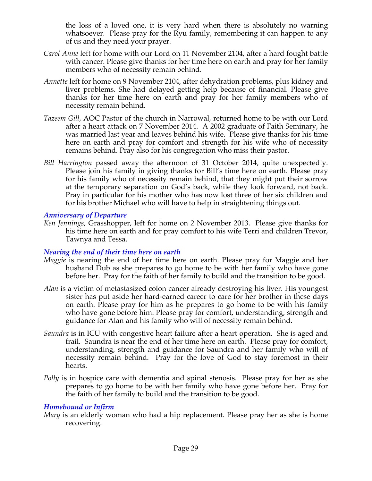the loss of a loved one, it is very hard when there is absolutely no warning whatsoever. Please pray for the Ryu family, remembering it can happen to any of us and they need your prayer.

- *Carol Anne* left for home with our Lord on 11 November 2104, after a hard fought battle with cancer. Please give thanks for her time here on earth and pray for her family members who of necessity remain behind.
- *Annette* left for home on 9 November 2104, after dehydration problems, plus kidney and liver problems. She had delayed getting help because of financial. Please give thanks for her time here on earth and pray for her family members who of necessity remain behind.
- *Tazeem Gill*, AOC Pastor of the church in Narrowal, returned home to be with our Lord after a heart attack on 7 November 2014. A 2002 graduate of Faith Seminary, he was married last year and leaves behind his wife. Please give thanks for his time here on earth and pray for comfort and strength for his wife who of necessity remains behind. Pray also for his congregation who miss their pastor.
- *Bill Harrington* passed away the afternoon of 31 October 2014, quite unexpectedly. Please join his family in giving thanks for Bill's time here on earth. Please pray for his family who of necessity remain behind, that they might put their sorrow at the temporary separation on God's back, while they look forward, not back. Pray in particular for his mother who has now lost three of her six children and for his brother Michael who will have to help in straightening things out.

#### *Anniversary of Departure*

*Ken Jennings*, Grasshopper, left for home on 2 November 2013. Please give thanks for his time here on earth and for pray comfort to his wife Terri and children Trevor, Tawnya and Tessa.

#### *Nearing the end of their time here on earth*

- *Maggie* is nearing the end of her time here on earth. Please pray for Maggie and her husband Dub as she prepares to go home to be with her family who have gone before her. Pray for the faith of her family to build and the transition to be good.
- *Alan* is a victim of metastasized colon cancer already destroying his liver. His youngest sister has put aside her hard-earned career to care for her brother in these days on earth. Please pray for him as he prepares to go home to be with his family who have gone before him. Please pray for comfort, understanding, strength and guidance for Alan and his family who will of necessity remain behind.
- *Saundra* is in ICU with congestive heart failure after a heart operation. She is aged and frail. Saundra is near the end of her time here on earth. Please pray for comfort, understanding, strength and guidance for Saundra and her family who will of necessity remain behind. Pray for the love of God to stay foremost in their hearts.
- *Polly* is in hospice care with dementia and spinal stenosis. Please pray for her as she prepares to go home to be with her family who have gone before her. Pray for the faith of her family to build and the transition to be good.

#### *Homebound or Infirm*

*Mary* is an elderly woman who had a hip replacement. Please pray her as she is home recovering.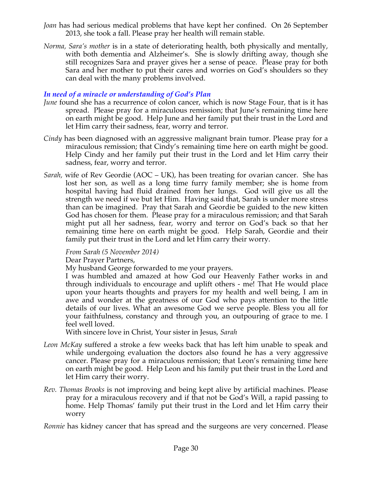- *Joan* has had serious medical problems that have kept her confined. On 26 September 2013, she took a fall. Please pray her health will remain stable.
- *Norma, Sara's mother* is in a state of deteriorating health, both physically and mentally, with both dementia and Alzheimer's. She is slowly drifting away, though she still recognizes Sara and prayer gives her a sense of peace. Please pray for both Sara and her mother to put their cares and worries on God's shoulders so they can deal with the many problems involved.

## *In need of a miracle or understanding of God's Plan*

- *June* found she has a recurrence of colon cancer, which is now Stage Four, that is it has spread. Please pray for a miraculous remission; that June's remaining time here on earth might be good. Help June and her family put their trust in the Lord and let Him carry their sadness, fear, worry and terror.
- *Cindy* has been diagnosed with an aggressive malignant brain tumor. Please pray for a miraculous remission; that Cindy's remaining time here on earth might be good. Help Cindy and her family put their trust in the Lord and let Him carry their sadness, fear, worry and terror.
- *Sarah,* wife of Rev Geordie (AOC UK), has been treating for ovarian cancer. She has lost her son, as well as a long time furry family member; she is home from hospital having had fluid drained from her lungs. God will give us all the strength we need if we but let Him. Having said that, Sarah is under more stress than can be imagined. Pray that Sarah and Geordie be guided to the new kitten God has chosen for them. Please pray for a miraculous remission; and that Sarah might put all her sadness, fear, worry and terror on God's back so that her remaining time here on earth might be good. Help Sarah, Geordie and their family put their trust in the Lord and let Him carry their worry.

*From Sarah (5 November 2014)* 

Dear Prayer Partners,

My husband George forwarded to me your prayers.

I was humbled and amazed at how God our Heavenly Father works in and through individuals to encourage and uplift others - me! That He would place upon your hearts thoughts and prayers for my health and well being, I am in awe and wonder at the greatness of our God who pays attention to the little details of our lives. What an awesome God we serve people. Bless you all for your faithfulness, constancy and through you, an outpouring of grace to me. I feel well loved.

With sincere love in Christ, Your sister in Jesus, *Sarah*

- *Leon McKay* suffered a stroke a few weeks back that has left him unable to speak and while undergoing evaluation the doctors also found he has a very aggressive cancer. Please pray for a miraculous remission; that Leon's remaining time here on earth might be good. Help Leon and his family put their trust in the Lord and let Him carry their worry.
- *Rev. Thomas Brooks* is not improving and being kept alive by artificial machines. Please pray for a miraculous recovery and if that not be God's Will, a rapid passing to home. Help Thomas' family put their trust in the Lord and let Him carry their worry

*Ronnie* has kidney cancer that has spread and the surgeons are very concerned. Please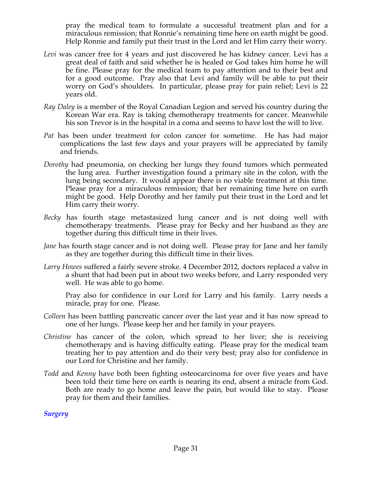pray the medical team to formulate a successful treatment plan and for a miraculous remission; that Ronnie's remaining time here on earth might be good. Help Ronnie and family put their trust in the Lord and let Him carry their worry.

- *Levi* was cancer free for 4 years and just discovered he has kidney cancer. Levi has a great deal of faith and said whether he is healed or God takes him home he will be fine. Please pray for the medical team to pay attention and to their best and for a good outcome. Pray also that Levi and family will be able to put their worry on God's shoulders. In particular, please pray for pain relief; Levi is 22 years old.
- *Ray Daley* is a member of the Royal Canadian Legion and served his country during the Korean War era. Ray is taking chemotherapy treatments for cancer. Meanwhile his son Trevor is in the hospital in a coma and seems to have lost the will to live.
- *Pat* has been under treatment for colon cancer for sometime. He has had major complications the last few days and your prayers will be appreciated by family and friends.
- *Dorothy* had pneumonia, on checking her lungs they found tumors which permeated the lung area. Further investigation found a primary site in the colon, with the lung being secondary. It would appear there is no viable treatment at this time. Please pray for a miraculous remission; that her remaining time here on earth might be good. Help Dorothy and her family put their trust in the Lord and let Him carry their worry.
- *Becky* has fourth stage metastasized lung cancer and is not doing well with chemotherapy treatments. Please pray for Becky and her husband as they are together during this difficult time in their lives.
- *Jane* has fourth stage cancer and is not doing well. Please pray for Jane and her family as they are together during this difficult time in their lives.
- *Larry Howes* suffered a fairly severe stroke. 4 December 2012, doctors replaced a valve in a shunt that had been put in about two weeks before, and Larry responded very well. He was able to go home.

Pray also for confidence in our Lord for Larry and his family. Larry needs a miracle, pray for one. Please.

- *Colleen* has been battling pancreatic cancer over the last year and it has now spread to one of her lungs. Please keep her and her family in your prayers.
- *Christine* has cancer of the colon, which spread to her liver; she is receiving chemotherapy and is having difficulty eating. Please pray for the medical team treating her to pay attention and do their very best; pray also for confidence in our Lord for Christine and her family.
- *Todd* and *Kenny* have both been fighting osteocarcinoma for over five years and have been told their time here on earth is nearing its end, absent a miracle from God. Both are ready to go home and leave the pain, but would like to stay. Please pray for them and their families.

*Surgery*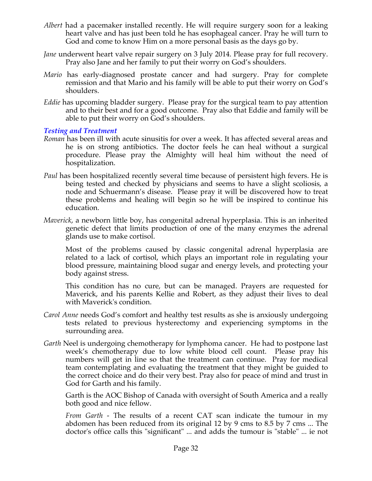- *Albert* had a pacemaker installed recently. He will require surgery soon for a leaking heart valve and has just been told he has esophageal cancer. Pray he will turn to God and come to know Him on a more personal basis as the days go by.
- *Jane* underwent heart valve repair surgery on 3 July 2014. Please pray for full recovery. Pray also Jane and her family to put their worry on God's shoulders.
- *Mario* has early-diagnosed prostate cancer and had surgery. Pray for complete remission and that Mario and his family will be able to put their worry on God's shoulders.
- *Eddie* has upcoming bladder surgery. Please pray for the surgical team to pay attention and to their best and for a good outcome. Pray also that Eddie and family will be able to put their worry on God's shoulders.

#### *Testing and Treatment*

- *Roman* has been ill with acute sinusitis for over a week. It has affected several areas and he is on strong antibiotics. The doctor feels he can heal without a surgical procedure. Please pray the Almighty will heal him without the need of hospitalization.
- *Paul* has been hospitalized recently several time because of persistent high fevers. He is being tested and checked by physicians and seems to have a slight scoliosis, a node and Schuermann's disease. Please pray it will be discovered how to treat these problems and healing will begin so he will be inspired to continue his education.
- *Maverick*, a newborn little boy, has congenital adrenal hyperplasia. This is an inherited genetic defect that limits production of one of the many enzymes the adrenal glands use to make cortisol.

Most of the problems caused by classic congenital adrenal hyperplasia are related to a lack of cortisol, which plays an important role in regulating your blood pressure, maintaining blood sugar and energy levels, and protecting your body against stress.

This condition has no cure, but can be managed. Prayers are requested for Maverick, and his parents Kellie and Robert, as they adjust their lives to deal with Maverick's condition.

- *Carol Anne* needs God's comfort and healthy test results as she is anxiously undergoing tests related to previous hysterectomy and experiencing symptoms in the surrounding area.
- *Garth* Neel is undergoing chemotherapy for lymphoma cancer. He had to postpone last week's chemotherapy due to low white blood cell count. Please pray his numbers will get in line so that the treatment can continue. Pray for medical team contemplating and evaluating the treatment that they might be guided to the correct choice and do their very best. Pray also for peace of mind and trust in God for Garth and his family.

Garth is the AOC Bishop of Canada with oversight of South America and a really both good and nice fellow.

*From Garth* - The results of a recent CAT scan indicate the tumour in my abdomen has been reduced from its original 12 by 9 cms to 8.5 by 7 cms ... The doctor's office calls this "significant" ... and adds the tumour is "stable" ... ie not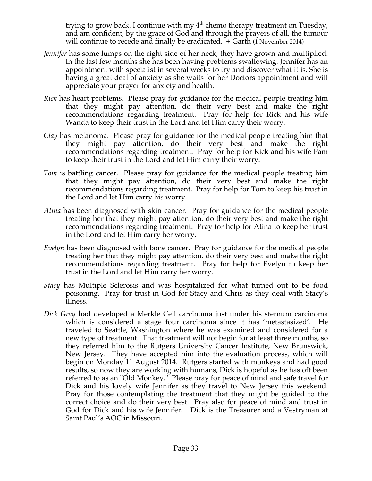trying to grow back. I continue with my  $4<sup>th</sup>$  chemo therapy treatment on Tuesday, and am confident, by the grace of God and through the prayers of all, the tumour will continue to recede and finally be eradicated. + Garth (1 November 2014)

- *Jennifer* has some lumps on the right side of her neck; they have grown and multiplied. In the last few months she has been having problems swallowing. Jennifer has an appointment with specialist in several weeks to try and discover what it is. She is having a great deal of anxiety as she waits for her Doctors appointment and will appreciate your prayer for anxiety and health.
- *Rick* has heart problems. Please pray for guidance for the medical people treating him that they might pay attention, do their very best and make the right recommendations regarding treatment. Pray for help for Rick and his wife Wanda to keep their trust in the Lord and let Him carry their worry.
- *Clay* has melanoma. Please pray for guidance for the medical people treating him that they might pay attention, do their very best and make the right recommendations regarding treatment. Pray for help for Rick and his wife Pam to keep their trust in the Lord and let Him carry their worry.
- *Tom* is battling cancer. Please pray for guidance for the medical people treating him that they might pay attention, do their very best and make the right recommendations regarding treatment. Pray for help for Tom to keep his trust in the Lord and let Him carry his worry.
- *Atina* has been diagnosed with skin cancer. Pray for guidance for the medical people treating her that they might pay attention, do their very best and make the right recommendations regarding treatment. Pray for help for Atina to keep her trust in the Lord and let Him carry her worry.
- *Evelyn* has been diagnosed with bone cancer. Pray for guidance for the medical people treating her that they might pay attention, do their very best and make the right recommendations regarding treatment. Pray for help for Evelyn to keep her trust in the Lord and let Him carry her worry.
- *Stacy* has Multiple Sclerosis and was hospitalized for what turned out to be food poisoning. Pray for trust in God for Stacy and Chris as they deal with Stacy's illness.
- *Dick Gray* had developed a Merkle Cell carcinoma just under his sternum carcinoma which is considered a stage four carcinoma since it has 'metastasized'. He traveled to Seattle, Washington where he was examined and considered for a new type of treatment. That treatment will not begin for at least three months, so they referred him to the Rutgers University Cancer Institute, New Brunswick, New Jersey. They have accepted him into the evaluation process, which will begin on Monday 11 August 2014. Rutgers started with monkeys and had good results, so now they are working with humans, Dick is hopeful as he has oft been referred to as an "Old Monkey." Please pray for peace of mind and safe travel for Dick and his lovely wife Jennifer as they travel to New Jersey this weekend. Pray for those contemplating the treatment that they might be guided to the correct choice and do their very best. Pray also for peace of mind and trust in God for Dick and his wife Jennifer. Dick is the Treasurer and a Vestryman at Saint Paul's AOC in Missouri.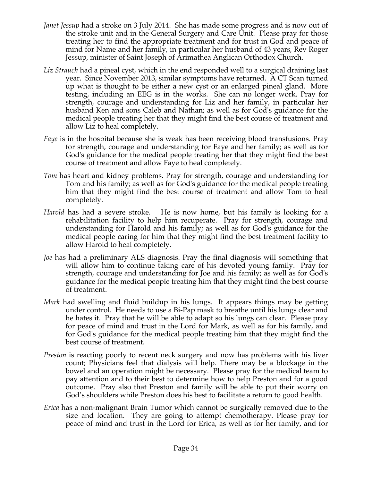- *Janet Jessup* had a stroke on 3 July 2014. She has made some progress and is now out of the stroke unit and in the General Surgery and Care Unit. Please pray for those treating her to find the appropriate treatment and for trust in God and peace of mind for Name and her family, in particular her husband of 43 years, Rev Roger Jessup, minister of Saint Joseph of Arimathea Anglican Orthodox Church.
- *Liz Strauch* had a pineal cyst, which in the end responded well to a surgical draining last year. Since November 2013, similar symptoms have returned. A CT Scan turned up what is thought to be either a new cyst or an enlarged pineal gland. More testing, including an EEG is in the works. She can no longer work. Pray for strength, courage and understanding for Liz and her family, in particular her husband Ken and sons Caleb and Nathan; as well as for God's guidance for the medical people treating her that they might find the best course of treatment and allow Liz to heal completely.
- *Faye* is in the hospital because she is weak has been receiving blood transfusions. Pray for strength, courage and understanding for Faye and her family; as well as for God's guidance for the medical people treating her that they might find the best course of treatment and allow Faye to heal completely.
- *Tom* has heart and kidney problems. Pray for strength, courage and understanding for Tom and his family; as well as for God's guidance for the medical people treating him that they might find the best course of treatment and allow Tom to heal completely.
- *Harold* has had a severe stroke. He is now home, but his family is looking for a rehabilitation facility to help him recuperate. Pray for strength, courage and understanding for Harold and his family; as well as for God's guidance for the medical people caring for him that they might find the best treatment facility to allow Harold to heal completely.
- *Joe* has had a preliminary ALS diagnosis. Pray the final diagnosis will something that will allow him to continue taking care of his devoted young family. Pray for strength, courage and understanding for Joe and his family; as well as for God's guidance for the medical people treating him that they might find the best course of treatment.
- *Mark* had swelling and fluid buildup in his lungs. It appears things may be getting under control. He needs to use a Bi-Pap mask to breathe until his lungs clear and he hates it. Pray that he will be able to adapt so his lungs can clear. Please pray for peace of mind and trust in the Lord for Mark, as well as for his family, and for God's guidance for the medical people treating him that they might find the best course of treatment.
- *Preston* is reacting poorly to recent neck surgery and now has problems with his liver count; Physicians feel that dialysis will help. There may be a blockage in the bowel and an operation might be necessary. Please pray for the medical team to pay attention and to their best to determine how to help Preston and for a good outcome. Pray also that Preston and family will be able to put their worry on God's shoulders while Preston does his best to facilitate a return to good health.
- *Erica* has a non-malignant Brain Tumor which cannot be surgically removed due to the size and location. They are going to attempt chemotherapy. Please pray for peace of mind and trust in the Lord for Erica, as well as for her family, and for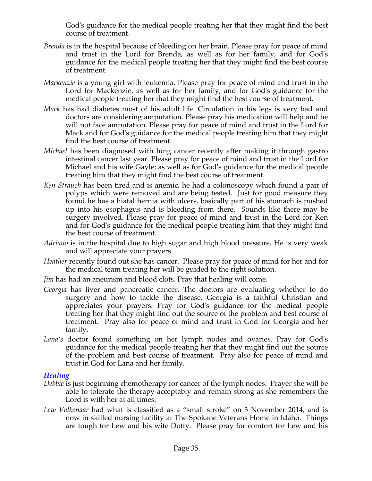God's guidance for the medical people treating her that they might find the best course of treatment.

- *Brenda* is in the hospital because of bleeding on her brain. Please pray for peace of mind and trust in the Lord for Brenda, as well as for her family, and for God's guidance for the medical people treating her that they might find the best course of treatment.
- *Mackenzie* is a young girl with leukemia. Please pray for peace of mind and trust in the Lord for Mackenzie, as well as for her family, and for God's guidance for the medical people treating her that they might find the best course of treatment.
- *Mack* has had diabetes most of his adult life. Circulation in his legs is very bad and doctors are considering amputation. Please pray his medication will help and he will not face amputation. Please pray for peace of mind and trust in the Lord for Mack and for God's guidance for the medical people treating him that they might find the best course of treatment.
- *Michael* has been diagnosed with lung cancer recently after making it through gastro intestinal cancer last year. Please pray for peace of mind and trust in the Lord for Michael and his wife Gayle; as well as for God's guidance for the medical people treating him that they might find the best course of treatment.
- *Ken Strauch* has been tired and is anemic, he had a colonoscopy which found a pair of polyps which were removed and are being tested. Just for good measure they found he has a hiatal hernia with ulcers, basically part of his stomach is pushed up into his esophagus and is bleeding from there. Sounds like there may be surgery involved. Please pray for peace of mind and trust in the Lord for Ken and for God's guidance for the medical people treating him that they might find the best course of treatment.
- *Adriano* is in the hospital due to high sugar and high blood pressure. He is very weak and will appreciate your prayers.
- *Heather* recently found out she has cancer. Please pray for peace of mind for her and for the medical team treating her will be guided to the right solution.
- *Jim* has had an aneurism and blood clots. Pray that healing will come.
- *Georgia* has liver and pancreatic cancer. The doctors are evaluating whether to do surgery and how to tackle the disease. Georgia is a faithful Christian and appreciates your prayers. Pray for God's guidance for the medical people treating her that they might find out the source of the problem and best course of treatment. Pray also for peace of mind and trust in God for Georgia and her family.
- *Lana's* doctor found something on her lymph nodes and ovaries. Pray for God's guidance for the medical people treating her that they might find out the source of the problem and best course of treatment. Pray also for peace of mind and trust in God for Lana and her family.

#### *Healing*

- *Debbie* is just beginning chemotherapy for cancer of the lymph nodes. Prayer she will be able to tolerate the therapy acceptably and remain strong as she remembers the Lord is with her at all times.
- *Lew Valkenaar* had what is classified as a "small stroke" on 3 November 2014, and is now in skilled nursing facility at The Spokane Veterans Home in Idaho. Things are tough for Lew and his wife Dotty. Please pray for comfort for Lew and his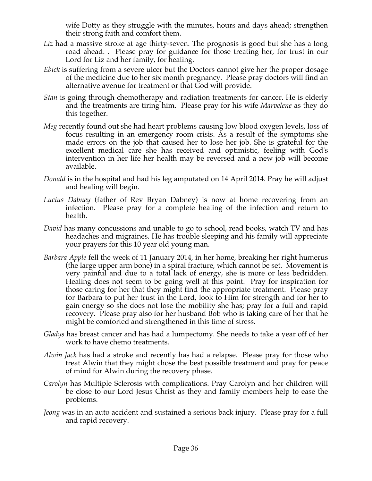wife Dotty as they struggle with the minutes, hours and days ahead; strengthen their strong faith and comfort them.

- *Liz* had a massive stroke at age thirty-seven. The prognosis is good but she has a long road ahead. . Please pray for guidance for those treating her, for trust in our Lord for Liz and her family, for healing.
- *Ebick* is suffering from a severe ulcer but the Doctors cannot give her the proper dosage of the medicine due to her six month pregnancy. Please pray doctors will find an alternative avenue for treatment or that God will provide.
- *Stan* is going through chemotherapy and radiation treatments for cancer. He is elderly and the treatments are tiring him. Please pray for his wife *Marvelene* as they do this together.
- *Meg* recently found out she had heart problems causing low blood oxygen levels, loss of focus resulting in an emergency room crisis. As a result of the symptoms she made errors on the job that caused her to lose her job. She is grateful for the excellent medical care she has received and optimistic, feeling with God's intervention in her life her health may be reversed and a new job will become available.
- *Donald* is in the hospital and had his leg amputated on 14 April 2014. Pray he will adjust and healing will begin.
- *Lucius Dabney* (father of Rev Bryan Dabney) is now at home recovering from an infection. Please pray for a complete healing of the infection and return to health.
- *David* has many concussions and unable to go to school, read books, watch TV and has headaches and migraines. He has trouble sleeping and his family will appreciate your prayers for this 10 year old young man.
- *Barbara Apple* fell the week of 11 January 2014, in her home, breaking her right humerus (the large upper arm bone) in a spiral fracture, which cannot be set. Movement is very painful and due to a total lack of energy, she is more or less bedridden. Healing does not seem to be going well at this point. Pray for inspiration for those caring for her that they might find the appropriate treatment. Please pray for Barbara to put her trust in the Lord, look to Him for strength and for her to gain energy so she does not lose the mobility she has; pray for a full and rapid recovery. Please pray also for her husband Bob who is taking care of her that he might be comforted and strengthened in this time of stress.
- *Gladys* has breast cancer and has had a lumpectomy. She needs to take a year off of her work to have chemo treatments.
- *Alwin Jack* has had a stroke and recently has had a relapse. Please pray for those who treat Alwin that they might chose the best possible treatment and pray for peace of mind for Alwin during the recovery phase.
- *Carolyn* has Multiple Sclerosis with complications. Pray Carolyn and her children will be close to our Lord Jesus Christ as they and family members help to ease the problems.
- *Jeong* was in an auto accident and sustained a serious back injury. Please pray for a full and rapid recovery.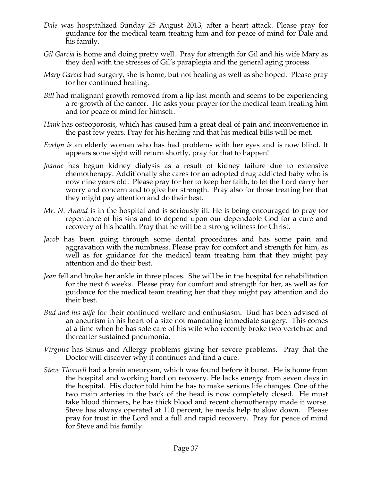- *Dale* was hospitalized Sunday 25 August 2013, after a heart attack. Please pray for guidance for the medical team treating him and for peace of mind for Dale and his family.
- *Gil Garcia* is home and doing pretty well. Pray for strength for Gil and his wife Mary as they deal with the stresses of Gil's paraplegia and the general aging process.
- *Mary Garcia* had surgery, she is home, but not healing as well as she hoped. Please pray for her continued healing.
- *Bill* had malignant growth removed from a lip last month and seems to be experiencing a re-growth of the cancer. He asks your prayer for the medical team treating him and for peace of mind for himself.
- *Hank* has osteoporosis, which has caused him a great deal of pain and inconvenience in the past few years. Pray for his healing and that his medical bills will be met.
- *Evelyn is* an elderly woman who has had problems with her eyes and is now blind. It appears some sight will return shortly, pray for that to happen!
- *Joanne* has begun kidney dialysis as a result of kidney failure due to extensive chemotherapy. Additionally she cares for an adopted drug addicted baby who is now nine years old. Please pray for her to keep her faith, to let the Lord carry her worry and concern and to give her strength. Pray also for those treating her that they might pay attention and do their best.
- *Mr. N. Anand* is in the hospital and is seriously ill. He is being encouraged to pray for repentance of his sins and to depend upon our dependable God for a cure and recovery of his health. Pray that he will be a strong witness for Christ.
- *Jacob* has been going through some dental procedures and has some pain and aggravation with the numbness. Please pray for comfort and strength for him, as well as for guidance for the medical team treating him that they might pay attention and do their best.
- *Jean* fell and broke her ankle in three places. She will be in the hospital for rehabilitation for the next 6 weeks. Please pray for comfort and strength for her, as well as for guidance for the medical team treating her that they might pay attention and do their best.
- *Bud and his wife* for their continued welfare and enthusiasm. Bud has been advised of an aneurism in his heart of a size not mandating immediate surgery. This comes at a time when he has sole care of his wife who recently broke two vertebrae and thereafter sustained pneumonia.
- *Virginia* has Sinus and Allergy problems giving her severe problems. Pray that the Doctor will discover why it continues and find a cure.
- *Steve Thornell* had a brain aneurysm, which was found before it burst. He is home from the hospital and working hard on recovery. He lacks energy from seven days in the hospital. His doctor told him he has to make serious life changes. One of the two main arteries in the back of the head is now completely closed. He must take blood thinners, he has thick blood and recent chemotherapy made it worse. Steve has always operated at 110 percent, he needs help to slow down. Please pray for trust in the Lord and a full and rapid recovery. Pray for peace of mind for Steve and his family.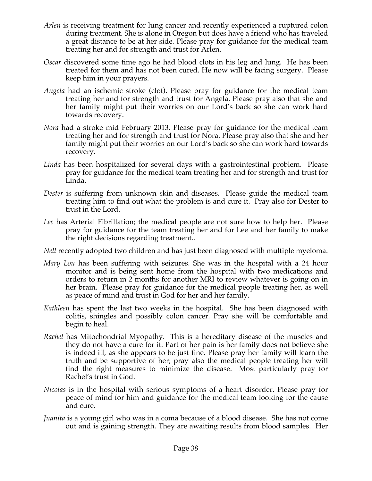- *Arlen* is receiving treatment for lung cancer and recently experienced a ruptured colon during treatment. She is alone in Oregon but does have a friend who has traveled a great distance to be at her side. Please pray for guidance for the medical team treating her and for strength and trust for Arlen.
- *Oscar* discovered some time ago he had blood clots in his leg and lung. He has been treated for them and has not been cured. He now will be facing surgery. Please keep him in your prayers.
- *Angela* had an ischemic stroke (clot). Please pray for guidance for the medical team treating her and for strength and trust for Angela. Please pray also that she and her family might put their worries on our Lord's back so she can work hard towards recovery.
- *Nora* had a stroke mid February 2013. Please pray for guidance for the medical team treating her and for strength and trust for Nora. Please pray also that she and her family might put their worries on our Lord's back so she can work hard towards recovery.
- *Linda* has been hospitalized for several days with a gastrointestinal problem. Please pray for guidance for the medical team treating her and for strength and trust for Linda.
- *Dester* is suffering from unknown skin and diseases. Please guide the medical team treating him to find out what the problem is and cure it. Pray also for Dester to trust in the Lord.
- *Lee* has Arterial Fibrillation; the medical people are not sure how to help her. Please pray for guidance for the team treating her and for Lee and her family to make the right decisions regarding treatment..
- *Nell* recently adopted two children and has just been diagnosed with multiple myeloma.
- *Mary Lou* has been suffering with seizures. She was in the hospital with a 24 hour monitor and is being sent home from the hospital with two medications and orders to return in 2 months for another MRI to review whatever is going on in her brain. Please pray for guidance for the medical people treating her, as well as peace of mind and trust in God for her and her family.
- *Kathleen* has spent the last two weeks in the hospital. She has been diagnosed with colitis, shingles and possibly colon cancer. Pray she will be comfortable and begin to heal.
- *Rachel* has Mitochondrial Myopathy. This is a hereditary disease of the muscles and they do not have a cure for it. Part of her pain is her family does not believe she is indeed ill, as she appears to be just fine. Please pray her family will learn the truth and be supportive of her; pray also the medical people treating her will find the right measures to minimize the disease. Most particularly pray for Rachel's trust in God.
- *Nicolas* is in the hospital with serious symptoms of a heart disorder. Please pray for peace of mind for him and guidance for the medical team looking for the cause and cure.
- *Juanita* is a young girl who was in a coma because of a blood disease. She has not come out and is gaining strength. They are awaiting results from blood samples. Her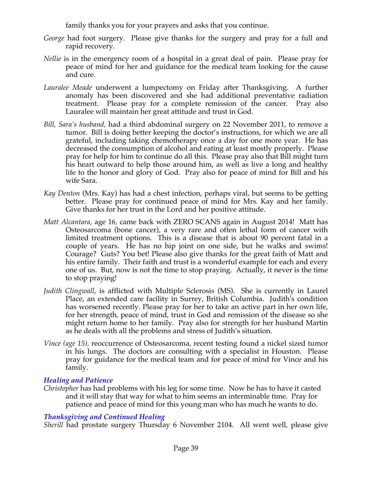family thanks you for your prayers and asks that you continue.

- *George* had foot surgery. Please give thanks for the surgery and pray for a full and rapid recovery.
- *Nellie* is in the emergency room of a hospital in a great deal of pain. Please pray for peace of mind for her and guidance for the medical team looking for the cause and cure.
- *Lauralee Meade* underwent a lumpectomy on Friday after Thanksgiving. A further anomaly has been discovered and she had additional preventative radiation treatment. Please pray for a complete remission of the cancer. Pray also Lauralee will maintain her great attitude and trust in God.
- *Bill, Sara's husband,* had a third abdominal surgery on 22 November 2011, to remove a tumor. Bill is doing better keeping the doctor's instructions, for which we are all grateful, including taking chemotherapy once a day for one more year. He has decreased the consumption of alcohol and eating at least mostly properly. Please pray for help for him to continue do all this. Please pray also that Bill might turn his heart outward to help those around him, as well as live a long and healthy life to the honor and glory of God. Pray also for peace of mind for Bill and his wife Sara.
- *Kay Denton* (Mrs. Kay) has had a chest infection, perhaps viral, but seems to be getting better. Please pray for continued peace of mind for Mrs. Kay and her family. Give thanks for her trust in the Lord and her positive attitude.
- *Matt Alcantara*, age 16, came back with ZERO SCANS again in August 2014! Matt has Osteosarcoma (bone cancer), a very rare and often lethal form of cancer with limited treatment options. This is a disease that is about 90 percent fatal in a couple of years. He has no hip joint on one side, but he walks and swims! Courage? Guts? You bet! Please also give thanks for the great faith of Matt and his entire family. Their faith and trust is a wonderful example for each and every one of us. But, now is not the time to stop praying. Actually, it never is the time to stop praying!
- *Judith Clingwall*, is afflicted with Multiple Sclerosis (MS). She is currently in Laurel Place, an extended care facility in Surrey, British Columbia. Judith's condition has worsened recently. Please pray for her to take an active part in her own life, for her strength, peace of mind, trust in God and remission of the disease so she might return home to her family. Pray also for strength for her husband Martin as he deals with all the problems and stress of Judith's situation.
- *Vince (age 15),* reoccurrence of Osteosarcoma, recent testing found a nickel sized tumor in his lungs. The doctors are consulting with a specialist in Houston. Please pray for guidance for the medical team and for peace of mind for Vince and his family.

## *Healing and Patience*

*Christopher* has had problems with his leg for some time. Now he has to have it casted and it will stay that way for what to him seems an interminable time. Pray for patience and peace of mind for this young man who has much he wants to do.

## *Thanksgiving and Continued Healing*

*Sherill* had prostate surgery Thursday 6 November 2104. All went well, please give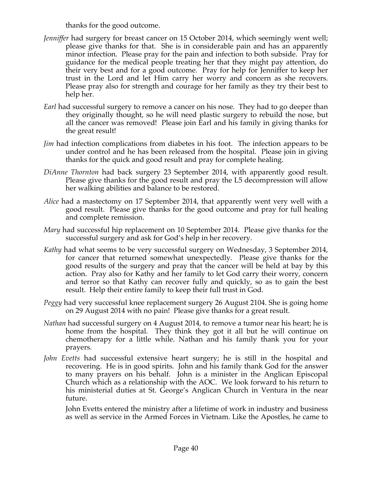thanks for the good outcome.

- *Jenniffer* had surgery for breast cancer on 15 October 2014, which seemingly went well; please give thanks for that. She is in considerable pain and has an apparently minor infection. Please pray for the pain and infection to both subside. Pray for guidance for the medical people treating her that they might pay attention, do their very best and for a good outcome. Pray for help for Jenniffer to keep her trust in the Lord and let Him carry her worry and concern as she recovers. Please pray also for strength and courage for her family as they try their best to help her.
- *Earl* had successful surgery to remove a cancer on his nose. They had to go deeper than they originally thought, so he will need plastic surgery to rebuild the nose, but all the cancer was removed! Please join Earl and his family in giving thanks for the great result!
- *Jim* had infection complications from diabetes in his foot. The infection appears to be under control and he has been released from the hospital. Please join in giving thanks for the quick and good result and pray for complete healing.
- *DiAnne Thornton* had back surgery 23 September 2014, with apparently good result. Please give thanks for the good result and pray the L5 decompression will allow her walking abilities and balance to be restored.
- *Alice* had a mastectomy on 17 September 2014, that apparently went very well with a good result. Please give thanks for the good outcome and pray for full healing and complete remission.
- *Mary* had successful hip replacement on 10 September 2014. Please give thanks for the successful surgery and ask for God's help in her recovery.
- *Kathy* had what seems to be very successful surgery on Wednesday, 3 September 2014, for cancer that returned somewhat unexpectedly. Please give thanks for the good results of the surgery and pray that the cancer will be held at bay by this action. Pray also for Kathy and her family to let God carry their worry, concern and terror so that Kathy can recover fully and quickly, so as to gain the best result. Help their entire family to keep their full trust in God.
- *Peggy* had very successful knee replacement surgery 26 August 2104. She is going home on 29 August 2014 with no pain! Please give thanks for a great result.
- *Nathan* had successful surgery on 4 August 2014, to remove a tumor near his heart; he is home from the hospital. They think they got it all but he will continue on chemotherapy for a little while. Nathan and his family thank you for your prayers.
- *John Evetts* had successful extensive heart surgery; he is still in the hospital and recovering. He is in good spirits. John and his family thank God for the answer to many prayers on his behalf. John is a minister in the Anglican Episcopal Church which as a relationship with the AOC. We look forward to his return to his ministerial duties at St. George's Anglican Church in Ventura in the near future.

John Evetts entered the ministry after a lifetime of work in industry and business as well as service in the Armed Forces in Vietnam. Like the Apostles, he came to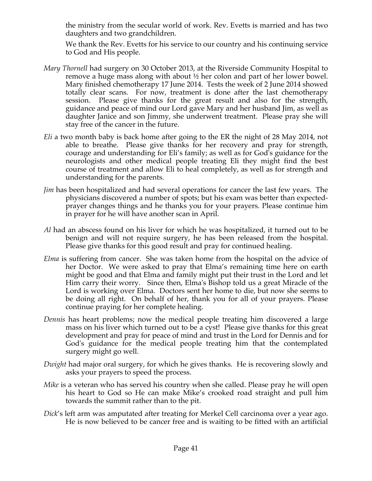the ministry from the secular world of work. Rev. Evetts is married and has two daughters and two grandchildren.

We thank the Rev. Evetts for his service to our country and his continuing service to God and His people.

- *Mary Thornell* had surgery on 30 October 2013, at the Riverside Community Hospital to remove a huge mass along with about ½ her colon and part of her lower bowel. Mary finished chemotherapy 17 June 2014. Tests the week of 2 June 2014 showed totally clear scans. For now, treatment is done after the last chemotherapy session. Please give thanks for the great result and also for the strength, guidance and peace of mind our Lord gave Mary and her husband Jim, as well as daughter Janice and son Jimmy, she underwent treatment. Please pray she will stay free of the cancer in the future.
- *Eli* a two month baby is back home after going to the ER the night of 28 May 2014, not able to breathe. Please give thanks for her recovery and pray for strength, courage and understanding for Eli's family; as well as for God's guidance for the neurologists and other medical people treating Eli they might find the best course of treatment and allow Eli to heal completely, as well as for strength and understanding for the parents.
- *Jim* has been hospitalized and had several operations for cancer the last few years. The physicians discovered a number of spots; but his exam was better than expectedprayer changes things and he thanks you for your prayers. Please continue him in prayer for he will have another scan in April.
- *Al* had an abscess found on his liver for which he was hospitalized, it turned out to be benign and will not require surgery, he has been released from the hospital. Please give thanks for this good result and pray for continued healing.
- *Elma* is suffering from cancer. She was taken home from the hospital on the advice of her Doctor. We were asked to pray that Elma's remaining time here on earth might be good and that Elma and family might put their trust in the Lord and let Him carry their worry. Since then, Elma's Bishop told us a great Miracle of the Lord is working over Elma. Doctors sent her home to die, but now she seems to be doing all right. On behalf of her, thank you for all of your prayers. Please continue praying for her complete healing.
- *Dennis* has heart problems; now the medical people treating him discovered a large mass on his liver which turned out to be a cyst! Please give thanks for this great development and pray for peace of mind and trust in the Lord for Dennis and for God's guidance for the medical people treating him that the contemplated surgery might go well.
- *Dwight* had major oral surgery, for which he gives thanks. He is recovering slowly and asks your prayers to speed the process.
- *Mike* is a veteran who has served his country when she called. Please pray he will open his heart to God so He can make Mike's crooked road straight and pull him towards the summit rather than to the pit.
- *Dick*'s left arm was amputated after treating for Merkel Cell carcinoma over a year ago. He is now believed to be cancer free and is waiting to be fitted with an artificial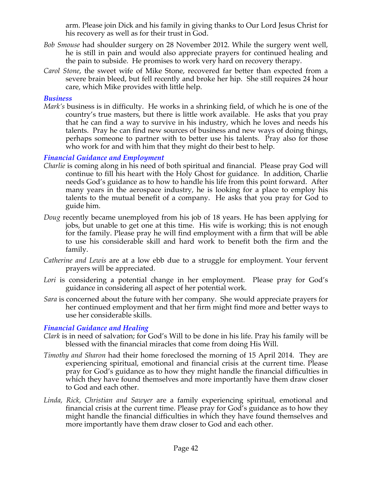arm. Please join Dick and his family in giving thanks to Our Lord Jesus Christ for his recovery as well as for their trust in God.

- *Bob Smouse* had shoulder surgery on 28 November 2012. While the surgery went well, he is still in pain and would also appreciate prayers for continued healing and the pain to subside. He promises to work very hard on recovery therapy.
- *Carol Stone*, the sweet wife of Mike Stone, recovered far better than expected from a severe brain bleed, but fell recently and broke her hip. She still requires 24 hour care, which Mike provides with little help.

#### *Business*

*Mark's* business is in difficulty. He works in a shrinking field, of which he is one of the country's true masters, but there is little work available. He asks that you pray that he can find a way to survive in his industry, which he loves and needs his talents. Pray he can find new sources of business and new ways of doing things, perhaps someone to partner with to better use his talents. Pray also for those who work for and with him that they might do their best to help.

## *Financial Guidance and Employment*

- *Charlie* is coming along in his need of both spiritual and financial. Please pray God will continue to fill his heart with the Holy Ghost for guidance. In addition, Charlie needs God's guidance as to how to handle his life from this point forward. After many years in the aerospace industry, he is looking for a place to employ his talents to the mutual benefit of a company. He asks that you pray for God to guide him.
- *Doug* recently became unemployed from his job of 18 years. He has been applying for jobs, but unable to get one at this time. His wife is working; this is not enough for the family. Please pray he will find employment with a firm that will be able to use his considerable skill and hard work to benefit both the firm and the family.
- *Catherine and Lewis* are at a low ebb due to a struggle for employment. Your fervent prayers will be appreciated.
- Lori is considering a potential change in her employment. Please pray for God's guidance in considering all aspect of her potential work.
- *Sara* is concerned about the future with her company. She would appreciate prayers for her continued employment and that her firm might find more and better ways to use her considerable skills.

#### *Financial Guidance and Healing*

- *Clark* is in need of salvation; for God's Will to be done in his life. Pray his family will be blessed with the financial miracles that come from doing His Will.
- *Timothy and Sharon* had their home foreclosed the morning of 15 April 2014. They are experiencing spiritual, emotional and financial crisis at the current time. Please pray for God's guidance as to how they might handle the financial difficulties in which they have found themselves and more importantly have them draw closer to God and each other.
- *Linda, Rick, Christian and Sawyer* are a family experiencing spiritual, emotional and financial crisis at the current time. Please pray for God's guidance as to how they might handle the financial difficulties in which they have found themselves and more importantly have them draw closer to God and each other.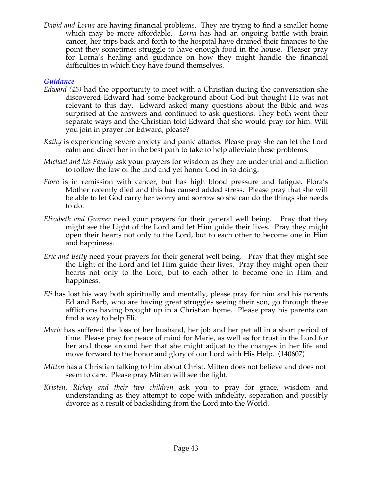*David and Lorna* are having financial problems. They are trying to find a smaller home which may be more affordable. *Lorna* has had an ongoing battle with brain cancer, her trips back and forth to the hospital have drained their finances to the point they sometimes struggle to have enough food in the house. Pleaser pray for Lorna's healing and guidance on how they might handle the financial difficulties in which they have found themselves.

## *Guidance*

- *Edward (45)* had the opportunity to meet with a Christian during the conversation she discovered Edward had some background about God but thought He was not relevant to this day. Edward asked many questions about the Bible and was surprised at the answers and continued to ask questions. They both went their separate ways and the Christian told Edward that she would pray for him. Will you join in prayer for Edward, please?
- *Kathy* is experiencing severe anxiety and panic attacks. Please pray she can let the Lord calm and direct her in the best path to take to help alleviate these problems.
- *Michael and his Family* ask your prayers for wisdom as they are under trial and affliction to follow the law of the land and yet honor God in so doing.
- *Flora* is in remission with cancer, but has high blood pressure and fatigue. Flora's Mother recently died and this has caused added stress. Please pray that she will be able to let God carry her worry and sorrow so she can do the things she needs to do.
- *Elizabeth and Gunner* need your prayers for their general well being. Pray that they might see the Light of the Lord and let Him guide their lives. Pray they might open their hearts not only to the Lord, but to each other to become one in Him and happiness.
- *Eric and Betty* need your prayers for their general well being. Pray that they might see the Light of the Lord and let Him guide their lives. Pray they might open their hearts not only to the Lord, but to each other to become one in Him and happiness.
- *Eli* has lost his way both spiritually and mentally, please pray for him and his parents Ed and Barb, who are having great struggles seeing their son, go through these afflictions having brought up in a Christian home. Please pray his parents can find a way to help Eli.
- *Marie* has suffered the loss of her husband, her job and her pet all in a short period of time. Please pray for peace of mind for Marie, as well as for trust in the Lord for her and those around her that she might adjust to the changes in her life and move forward to the honor and glory of our Lord with His Help. (140607)
- *Mitten* has a Christian talking to him about Christ. Mitten does not believe and does not seem to care. Please pray Mitten will see the light.
- *Kristen, Rickey and their two children* ask you to pray for grace, wisdom and understanding as they attempt to cope with infidelity, separation and possibly divorce as a result of backsliding from the Lord into the World.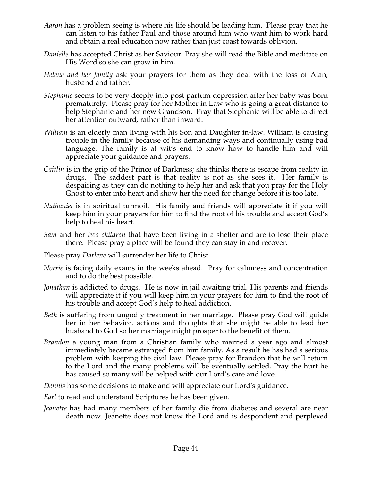- *Aaron* has a problem seeing is where his life should be leading him. Please pray that he can listen to his father Paul and those around him who want him to work hard and obtain a real education now rather than just coast towards oblivion.
- *Danielle* has accepted Christ as her Saviour. Pray she will read the Bible and meditate on His Word so she can grow in him.
- *Helene and her family* ask your prayers for them as they deal with the loss of Alan, husband and father.
- *Stephanie* seems to be very deeply into post partum depression after her baby was born prematurely. Please pray for her Mother in Law who is going a great distance to help Stephanie and her new Grandson. Pray that Stephanie will be able to direct her attention outward, rather than inward.
- *William* is an elderly man living with his Son and Daughter in-law. William is causing trouble in the family because of his demanding ways and continually using bad language. The family is at wit's end to know how to handle him and will appreciate your guidance and prayers.
- *Caitlin* is in the grip of the Prince of Darkness; she thinks there is escape from reality in drugs. The saddest part is that reality is not as she sees it. Her family is despairing as they can do nothing to help her and ask that you pray for the Holy Ghost to enter into heart and show her the need for change before it is too late.
- *Nathaniel* is in spiritual turmoil. His family and friends will appreciate it if you will keep him in your prayers for him to find the root of his trouble and accept God's help to heal his heart.
- *Sam* and her *two children* that have been living in a shelter and are to lose their place there. Please pray a place will be found they can stay in and recover.
- Please pray *Darlene* will surrender her life to Christ.
- *Norrie* is facing daily exams in the weeks ahead. Pray for calmness and concentration and to do the best possible.
- *Jonathan* is addicted to drugs. He is now in jail awaiting trial. His parents and friends will appreciate it if you will keep him in your prayers for him to find the root of his trouble and accept God's help to heal addiction.
- *Beth* is suffering from ungodly treatment in her marriage. Please pray God will guide her in her behavior, actions and thoughts that she might be able to lead her husband to God so her marriage might prosper to the benefit of them.
- *Brandon* a young man from a Christian family who married a year ago and almost immediately became estranged from him family. As a result he has had a serious problem with keeping the civil law. Please pray for Brandon that he will return to the Lord and the many problems will be eventually settled. Pray the hurt he has caused so many will be helped with our Lord's care and love.

*Dennis* has some decisions to make and will appreciate our Lord's guidance.

*Earl* to read and understand Scriptures he has been given.

*Jeanette* has had many members of her family die from diabetes and several are near death now. Jeanette does not know the Lord and is despondent and perplexed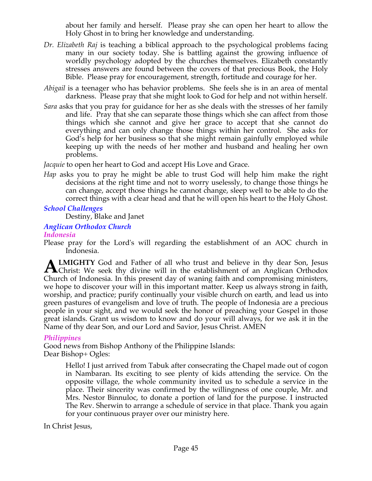about her family and herself. Please pray she can open her heart to allow the Holy Ghost in to bring her knowledge and understanding.

- *Dr. Elizabeth Raj* is teaching a biblical approach to the psychological problems facing many in our society today. She is battling against the growing influence of worldly psychology adopted by the churches themselves. Elizabeth constantly stresses answers are found between the covers of that precious Book, the Holy Bible. Please pray for encouragement, strength, fortitude and courage for her.
- *Abigail* is a teenager who has behavior problems. She feels she is in an area of mental darkness. Please pray that she might look to God for help and not within herself.
- *Sara* asks that you pray for guidance for her as she deals with the stresses of her family and life. Pray that she can separate those things which she can affect from those things which she cannot and give her grace to accept that she cannot do everything and can only change those things within her control. She asks for God's help for her business so that she might remain gainfully employed while keeping up with the needs of her mother and husband and healing her own problems.

*Jacquie* to open her heart to God and accept His Love and Grace.

*Hap* asks you to pray he might be able to trust God will help him make the right decisions at the right time and not to worry uselessly, to change those things he can change, accept those things he cannot change, sleep well to be able to do the correct things with a clear head and that he will open his heart to the Holy Ghost.

## *School Challenges*

Destiny, Blake and Janet

## *Anglican Orthodox Church*

#### *Indonesia*

Please pray for the Lord's will regarding the establishment of an AOC church in Indonesia.

**LMIGHTY** God and Father of all who trust and believe in thy dear Son, Jesus **ALMIGHTY** God and Father of all who trust and believe in thy dear Son, Jesus Christ: We seek thy divine will in the establishment of an Anglican Orthodox Church of Indonesia. In this present day of waning faith and compromising ministers, we hope to discover your will in this important matter. Keep us always strong in faith, worship, and practice; purify continually your visible church on earth, and lead us into green pastures of evangelism and love of truth. The people of Indonesia are a precious people in your sight, and we would seek the honor of preaching your Gospel in those great islands. Grant us wisdom to know and do your will always, for we ask it in the Name of thy dear Son, and our Lord and Savior, Jesus Christ. AMEN

## *Philippines*

Good news from Bishop Anthony of the Philippine Islands: Dear Bishop+ Ogles:

> Hello! I just arrived from Tabuk after consecrating the Chapel made out of cogon in Nambaran. Its exciting to see plenty of kids attending the service. On the opposite village, the whole community invited us to schedule a service in the place. Their sincerity was confirmed by the willingness of one couple, Mr. and Mrs. Nestor Binnuloc, to donate a portion of land for the purpose. I instructed The Rev. Sherwin to arrange a schedule of service in that place. Thank you again for your continuous prayer over our ministry here.

In Christ Jesus,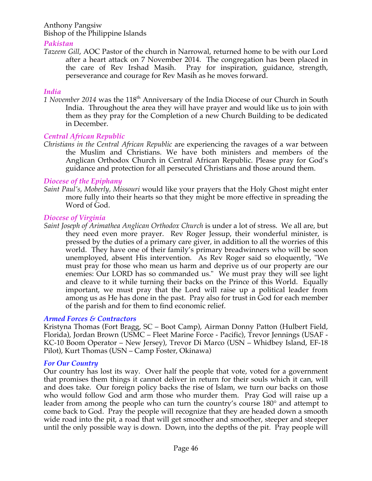#### Anthony Pangsiw Bishop of the Philippine Islands

#### *Pakistan*

*Tazeem Gill*, AOC Pastor of the church in Narrowal, returned home to be with our Lord after a heart attack on 7 November 2014. The congregation has been placed in the care of Rev Irshad Masih. Pray for inspiration, guidance, strength, perseverance and courage for Rev Masih as he moves forward.

#### *India*

1 November 2014 was the 118<sup>th</sup> Anniversary of the India Diocese of our Church in South India. Throughout the area they will have prayer and would like us to join with them as they pray for the Completion of a new Church Building to be dedicated in December.

#### *Central African Republic*

*Christians in the Central African Republic* are experiencing the ravages of a war between the Muslim and Christians. We have both ministers and members of the Anglican Orthodox Church in Central African Republic. Please pray for God's guidance and protection for all persecuted Christians and those around them.

#### *Diocese of the Epiphany*

*Saint Paul's, Moberly, Missouri* would like your prayers that the Holy Ghost might enter more fully into their hearts so that they might be more effective in spreading the Word of God.

#### *Diocese of Virginia*

*Saint Joseph of Arimathea Anglican Orthodox Church* is under a lot of stress. We all are, but they need even more prayer. Rev Roger Jessup, their wonderful minister, is pressed by the duties of a primary care giver, in addition to all the worries of this world. They have one of their family's primary breadwinners who will be soon unemployed, absent His intervention. As Rev Roger said so eloquently, "We must pray for those who mean us harm and deprive us of our property are our enemies: Our LORD has so commanded us." We must pray they will see light and cleave to it while turning their backs on the Prince of this World. Equally important, we must pray that the Lord will raise up a political leader from among us as He has done in the past. Pray also for trust in God for each member of the parish and for them to find economic relief.

#### *Armed Forces & Contractors*

Kristyna Thomas (Fort Bragg, SC – Boot Camp), Airman Donny Patton (Hulbert Field, Florida), Jordan Brown (USMC – Fleet Marine Force - Pacific), Trevor Jennings (USAF - KC-10 Boom Operator – New Jersey), Trevor Di Marco (USN – Whidbey Island, EF-18 Pilot), Kurt Thomas (USN – Camp Foster, Okinawa)

#### *For Our Country*

Our country has lost its way. Over half the people that vote, voted for a government that promises them things it cannot deliver in return for their souls which it can, will and does take. Our foreign policy backs the rise of Islam, we turn our backs on those who would follow God and arm those who murder them. Pray God will raise up a leader from among the people who can turn the country's course 180° and attempt to come back to God. Pray the people will recognize that they are headed down a smooth wide road into the pit, a road that will get smoother and smoother, steeper and steeper until the only possible way is down. Down, into the depths of the pit. Pray people will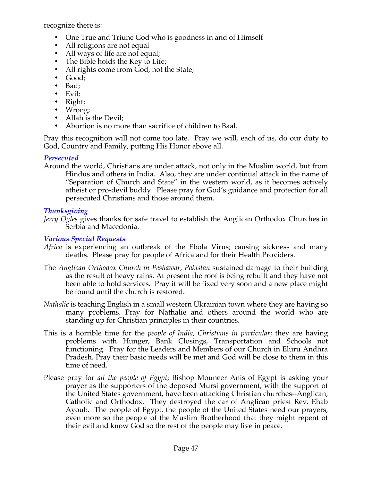recognize there is:

- One True and Triune God who is goodness in and of Himself
- All religions are not equal
- All ways of life are not equal;
- The Bible holds the Key to Life;
- All rights come from God, not the State;
- Good;
- Bad;
- Evil;
- Right;
- Wrong;
- Allah is the Devil;
- Abortion is no more than sacrifice of children to Baal.

Pray this recognition will not come too late. Pray we will, each of us, do our duty to God, Country and Family, putting His Honor above all.

## *Persecuted*

Around the world, Christians are under attack, not only in the Muslim world, but from Hindus and others in India. Also, they are under continual attack in the name of "Separation of Church and State" in the western world, as it becomes actively atheist or pro-devil buddy. Please pray for God's guidance and protection for all persecuted Christians and those around them.

## *Thanksgiving*

*Jerry Ogles* gives thanks for safe travel to establish the Anglican Orthodox Churches in Serbia and Macedonia.

## *Various Special Requests*

- *Africa* is experiencing an outbreak of the Ebola Virus; causing sickness and many deaths. Please pray for people of Africa and for their Health Providers.
- The *Anglican Orthodox Church in Peshawar, Pakistan* sustained damage to their building as the result of heavy rains. At present the roof is being rebuilt and they have not been able to hold services. Pray it will be fixed very soon and a new place might be found until the church is restored.
- *Nathalie* is teaching English in a small western Ukrainian town where they are having so many problems. Pray for Nathalie and others around the world who are standing up for Christian principles in their countries.
- This is a horrible time for the *people of India, Christians in particular*; they are having problems with Hunger, Bank Closings, Transportation and Schools not functioning. Pray for the Leaders and Members of our Church in Eluru Andhra Pradesh. Pray their basic needs will be met and God will be close to them in this time of need.
- Please pray for *all the people of Egypt*; Bishop Mouneer Anis of Egypt is asking your prayer as the supporters of the deposed Mursi government, with the support of the United States government, have been attacking Christian churches--Anglican, Catholic and Orthodox. They destroyed the car of Anglican priest Rev. Ehab Ayoub. The people of Egypt, the people of the United States need our prayers, even more so the people of the Muslim Brotherhood that they might repent of their evil and know God so the rest of the people may live in peace.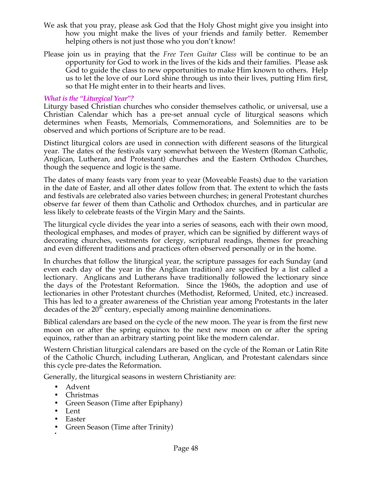- We ask that you pray, please ask God that the Holy Ghost might give you insight into how you might make the lives of your friends and family better. Remember helping others is not just those who you don't know!
- Please join us in praying that the *Free Teen Guitar Class* will be continue to be an opportunity for God to work in the lives of the kids and their families. Please ask God to guide the class to new opportunities to make Him known to others. Help us to let the love of our Lord shine through us into their lives, putting Him first, so that He might enter in to their hearts and lives.

## *What is the "Liturgical Year"?*

Liturgy based Christian churches who consider themselves catholic, or universal, use a Christian Calendar which has a pre-set annual cycle of liturgical seasons which determines when Feasts, Memorials, Commemorations, and Solemnities are to be observed and which portions of Scripture are to be read.

Distinct liturgical colors are used in connection with different seasons of the liturgical year. The dates of the festivals vary somewhat between the Western (Roman Catholic, Anglican, Lutheran, and Protestant) churches and the Eastern Orthodox Churches, though the sequence and logic is the same.

The dates of many feasts vary from year to year (Moveable Feasts) due to the variation in the date of Easter, and all other dates follow from that. The extent to which the fasts and festivals are celebrated also varies between churches; in general Protestant churches observe far fewer of them than Catholic and Orthodox churches, and in particular are less likely to celebrate feasts of the Virgin Mary and the Saints.

The liturgical cycle divides the year into a series of seasons, each with their own mood, theological emphases, and modes of prayer, which can be signified by different ways of decorating churches, vestments for clergy, scriptural readings, themes for preaching and even different traditions and practices often observed personally or in the home.

In churches that follow the liturgical year, the scripture passages for each Sunday (and even each day of the year in the Anglican tradition) are specified by a list called a lectionary. Anglicans and Lutherans have traditionally followed the lectionary since the days of the Protestant Reformation. Since the 1960s, the adoption and use of lectionaries in other Protestant churches (Methodist, Reformed, United, etc.) increased. This has led to a greater awareness of the Christian year among Protestants in the later decades of the  $20<sup>th</sup>$  century, especially among mainline denominations.

Biblical calendars are based on the cycle of the new moon. The year is from the first new moon on or after the spring equinox to the next new moon on or after the spring equinox, rather than an arbitrary starting point like the modern calendar.

Western Christian liturgical calendars are based on the cycle of the Roman or Latin Rite of the Catholic Church, including Lutheran, Anglican, and Protestant calendars since this cycle pre-dates the Reformation.

Generally, the liturgical seasons in western Christianity are:

- Advent
- Christmas
- Green Season (Time after Epiphany)
- Lent
- Easter
- Green Season (Time after Trinity)
- •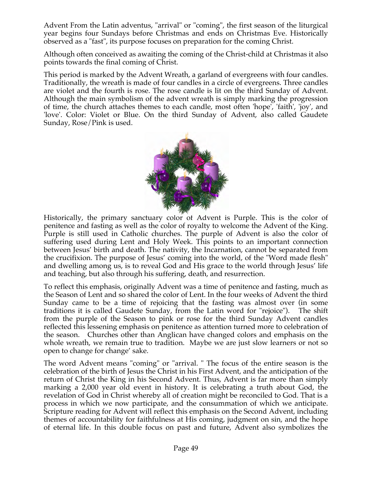Advent From the Latin adventus, "arrival" or "coming", the first season of the liturgical year begins four Sundays before Christmas and ends on Christmas Eve. Historically observed as a "fast", its purpose focuses on preparation for the coming Christ.

Although often conceived as awaiting the coming of the Christ-child at Christmas it also points towards the final coming of Christ.

This period is marked by the Advent Wreath, a garland of evergreens with four candles. Traditionally, the wreath is made of four candles in a circle of evergreens. Three candles are violet and the fourth is rose. The rose candle is lit on the third Sunday of Advent. Although the main symbolism of the advent wreath is simply marking the progression of time, the church attaches themes to each candle, most often 'hope', 'faith', 'joy', and 'love'. Color: Violet or Blue. On the third Sunday of Advent, also called Gaudete Sunday, Rose/Pink is used.



Historically, the primary sanctuary color of Advent is Purple. This is the color of penitence and fasting as well as the color of royalty to welcome the Advent of the King. Purple is still used in Catholic churches. The purple of Advent is also the color of suffering used during Lent and Holy Week. This points to an important connection between Jesus' birth and death. The nativity, the Incarnation, cannot be separated from the crucifixion. The purpose of Jesus' coming into the world, of the "Word made flesh" and dwelling among us, is to reveal God and His grace to the world through Jesus' life and teaching, but also through his suffering, death, and resurrection.

To reflect this emphasis, originally Advent was a time of penitence and fasting, much as the Season of Lent and so shared the color of Lent. In the four weeks of Advent the third Sunday came to be a time of rejoicing that the fasting was almost over (in some traditions it is called Gaudete Sunday, from the Latin word for "rejoice"). The shift from the purple of the Season to pink or rose for the third Sunday Advent candles reflected this lessening emphasis on penitence as attention turned more to celebration of the season. Churches other than Anglican have changed colors and emphasis on the whole wreath, we remain true to tradition. Maybe we are just slow learners or not so open to change for change' sake.

The word Advent means "coming" or "arrival. " The focus of the entire season is the celebration of the birth of Jesus the Christ in his First Advent, and the anticipation of the return of Christ the King in his Second Advent. Thus, Advent is far more than simply marking a 2,000 year old event in history. It is celebrating a truth about God, the revelation of God in Christ whereby all of creation might be reconciled to God. That is a process in which we now participate, and the consummation of which we anticipate. Scripture reading for Advent will reflect this emphasis on the Second Advent, including themes of accountability for faithfulness at His coming, judgment on sin, and the hope of eternal life. In this double focus on past and future, Advent also symbolizes the